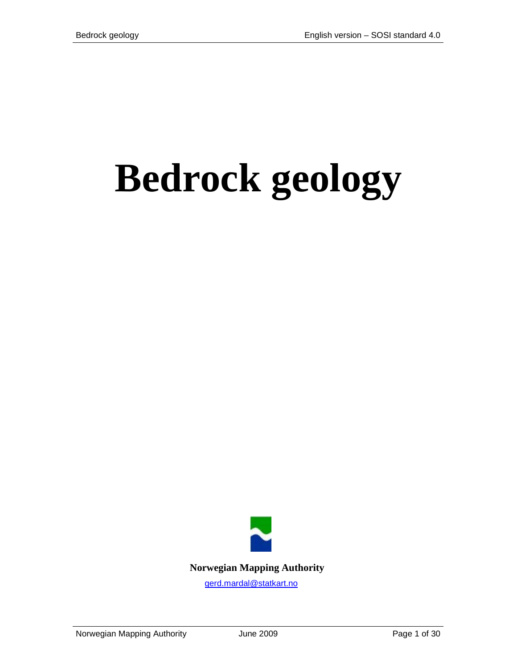# **Bedrock geology**

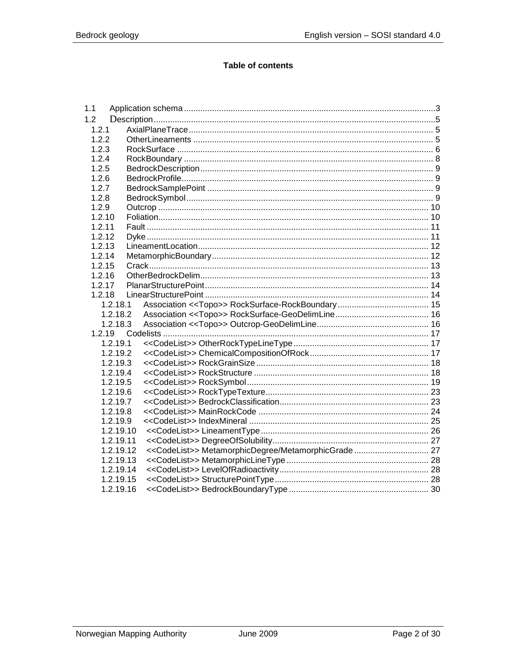#### **Table of contents**

| 1.1    |           |                                                     |  |
|--------|-----------|-----------------------------------------------------|--|
| 1.2    |           |                                                     |  |
| 1.2.1  |           |                                                     |  |
| 1.2.2  |           |                                                     |  |
| 1.2.3  |           |                                                     |  |
| 1.2.4  |           |                                                     |  |
| 1.2.5  |           |                                                     |  |
| 1.2.6  |           |                                                     |  |
| 1.2.7  |           |                                                     |  |
| 1.2.8  |           |                                                     |  |
| 1.2.9  |           |                                                     |  |
| 1.2.10 |           |                                                     |  |
| 1.2.11 |           |                                                     |  |
| 1.2.12 |           |                                                     |  |
| 1.2.13 |           |                                                     |  |
| 1.2.14 |           |                                                     |  |
| 1.2.15 |           |                                                     |  |
| 1.2.16 |           |                                                     |  |
| 1.2.17 |           |                                                     |  |
| 1.2.18 |           |                                                     |  |
|        | 1.2.18.1  |                                                     |  |
|        | 1.2.18.2  |                                                     |  |
|        | 1.2.18.3  |                                                     |  |
| 1.2.19 |           |                                                     |  |
|        | 1.2.19.1  |                                                     |  |
|        | 1.2.19.2  |                                                     |  |
|        | 1.2.19.3  |                                                     |  |
|        | 1.2.19.4  |                                                     |  |
|        | 1.2.19.5  |                                                     |  |
|        | 1.2.19.6  |                                                     |  |
|        | 1.2.19.7  |                                                     |  |
|        | 1.2.19.8  |                                                     |  |
|        | 1.2.19.9  |                                                     |  |
|        | 1.2.19.10 |                                                     |  |
|        | 1.2.19.11 |                                                     |  |
|        | 1.2.19.12 | << CodeList>> MetamorphicDegree/MetamorphicGrade 27 |  |
|        | 1.2.19.13 |                                                     |  |
|        | 1.2.19.14 |                                                     |  |
|        | 1.2.19.15 |                                                     |  |
|        | 1.2.19.16 |                                                     |  |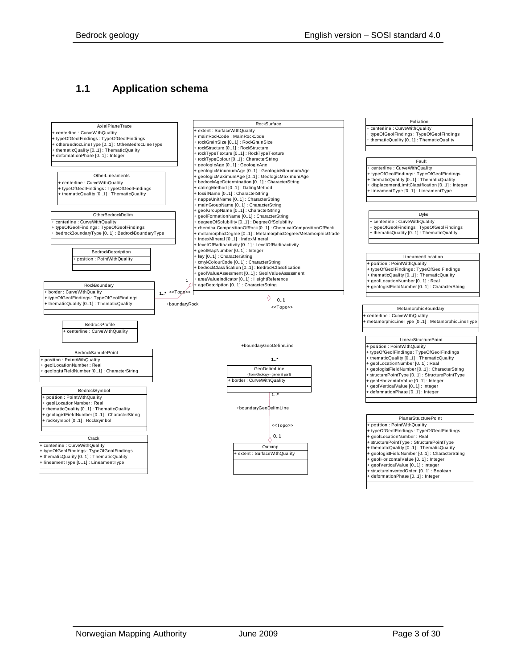## <span id="page-2-0"></span>**1.1 Application schema**

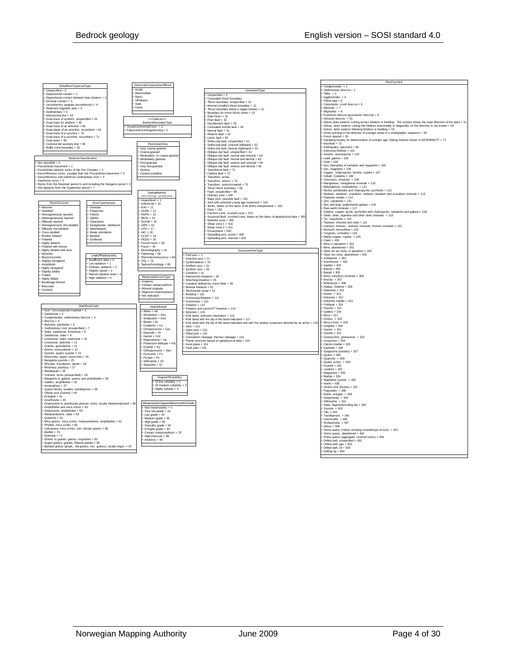|                                                                                                  | ChemicalCompositionOfRock          |                             |                                                                                                       | RockSymbol                                                                                                                                      |
|--------------------------------------------------------------------------------------------------|------------------------------------|-----------------------------|-------------------------------------------------------------------------------------------------------|-------------------------------------------------------------------------------------------------------------------------------------------------|
| OtherRockTypeLineType                                                                            |                                    |                             |                                                                                                       | $Conolomerate = 1$                                                                                                                              |
| $l$ Inspecified = $0$                                                                            | + Acidic                           |                             | LineamentType                                                                                         | Sedimentary breccia = 2                                                                                                                         |
| Depositional contact = 1                                                                         | <b>Intermediate</b>                |                             | $Unspecified = 0$                                                                                     | Tillite $=$ 3                                                                                                                                   |
| Depositional contact between lava streams = 2                                                    | - Rasic                            |                             |                                                                                                       | Agglomerate $= 4$                                                                                                                               |
| Intrusive contact = 3                                                                            | + Ultrabasic                       |                             | Concealed thrust boundary                                                                             | Pillow lava = $5$                                                                                                                               |
|                                                                                                  | Salic                              |                             | Thrust boundary, unspecified = 10                                                                     | Cataclasite, crush breccia = 6                                                                                                                  |
| Unconformity (angular unconformity) = 4                                                          | Femic                              |                             | Internal (smaller) thrust boundary = 11                                                               | $Mvlonita = 7$                                                                                                                                  |
| Reversed magnetic pole = 5                                                                       |                                    |                             | Thrust boundary below a nappe (sheet) = 12                                                            | $Mion$ ntite = 8                                                                                                                                |
| Sedimentary = 6                                                                                  |                                    |                             | Boundary for minor thrust sheet = 13                                                                  |                                                                                                                                                 |
| Intersecting line = 10                                                                           |                                    |                             | Sole thrust $= 31$                                                                                    | Explosion breccia (pyroclastic breccia) = 9                                                                                                     |
| Axial trace of synform, unspecified = 20                                                         | < <codelist>&gt;</codelist>        |                             | Floor fault = $32$                                                                                    | Intrusion breccia = $10$                                                                                                                        |
| Axial trace for antiform = 40                                                                    | BedrockBoundaryType                |                             | Decollement fault = 33                                                                                | Dykes, dyke swarms cutting across foliation or bedding. The symbol shows the main direction of the dyke = 51                                    |
| Axial trace of an anticline = 60                                                                 | OceanContinentalCrust = 1          |                             | Concealed normal fault = 40                                                                           | Dykes, dyke swarms cutting the foliation horizontally or diagonally, or the direction is not known = 52                                         |
| Axial plane of an anticline, recumbent = 61                                                      | PaleocenEocenAvgrensning = 2       |                             | Normal fault - 41                                                                                     | Dykes, dyke swarms following foliation or bedding = 53                                                                                          |
| Axial trace of a syncline = 70                                                                   |                                    |                             | Pererse fault = 42                                                                                    | Arrow pointing in the direction of vounger strata in a stratigraphic sequence = 54                                                              |
| Axial trace of a syncline, recumbent = 71                                                        |                                    |                             | $listric fault = 43$                                                                                  | Fossil deposit = 55                                                                                                                             |
| $C0$ al seam = 80                                                                                |                                    |                             |                                                                                                       | Sampling locality for determination of isotopic age Dating method shown in DATERINGTY = 71                                                      |
| Constructed auxiliary line = 90                                                                  | RockGrainSize                      |                             | Strike-slip fault, unspecified = 51                                                                   | Borehole = $72$                                                                                                                                 |
| Buffer zone boundary = 91                                                                        |                                    |                             | Strike-slip fault, sinistral (leftward) = 52                                                          | Earthquake, epicentre = 80                                                                                                                      |
|                                                                                                  | Very coarse-grained                |                             | Strike-slip fault, dextral (rightward) = 53                                                           | Antimony/Stibnite = 101                                                                                                                         |
|                                                                                                  | Coarse-grained                     |                             | Oblique-slip fault, unspecified = 61                                                                  |                                                                                                                                                 |
| RedmokClassification                                                                             | Moderately- to coarse-grai         |                             | Oblique-slip fault pormal and sinistral = $62$                                                        | Arsenic, arsenopyrite = 102                                                                                                                     |
|                                                                                                  | Moderately granular                |                             | Oblique-slip fault - normal and dextral = 63                                                          | Lead: galena = 103                                                                                                                              |
| $+$ Not classified = 0                                                                           | Fine-granular                      |                             | Oblique-slip fault, reverse and sinistral = 64                                                        | $Gold = 104$                                                                                                                                    |
| Precambrian basement = 1                                                                         | Very fine-granular                 |                             | Oblique-slip fault, reverse and dextral = 65                                                          | Iron; (hematite) or hematite and magnetite = 105                                                                                                |
| Eocambrian plutonic rocks of the Fen Complex = 2                                                 | Density                            |                             | Transformal fault = 71                                                                                | Iron, magnetite = $106$                                                                                                                         |
| Autochthonous rocks, younger than the Precambrian basement = 3                                   | Cryptocrystalline                  |                             | Caldera fault = 72                                                                                    | Copper; chalcopyrite, bornite, cuprite = 107                                                                                                    |
| Autochthonous and overthrust sedimentary rock = 4                                                |                                    |                             | Transform, active                                                                                     | Cobalt, Cobaltite = 108                                                                                                                         |
|                                                                                                  |                                    |                             |                                                                                                       | Chromium, chromite = 109                                                                                                                        |
| Overthrust rocks = $5$<br>Rocks from the Devonian period to and including the Neogene period = 6 |                                    |                             | Transform extinct = 74                                                                                | Manganese, manganese minerals = 110                                                                                                             |
|                                                                                                  |                                    |                             | Transform, extinct/covered = 75                                                                       | Molybdenum molybdenite = $111$                                                                                                                  |
| Soil deposits from the Quaternary period = 7                                                     |                                    |                             | Thrust block boundary = 82                                                                            | Nickel; pentlandite and chalcopyrite, pyrrhotite = 112                                                                                          |
|                                                                                                  | DatingMethod                       |                             | Fault, unspecified = 99                                                                               |                                                                                                                                                 |
|                                                                                                  | (from Geology - general pa         |                             | Ordinary joint = 100                                                                                  | Niobium, tantalum, scandium, niobium, tantalum and scandium minerals = 113                                                                      |
|                                                                                                  | + Uspesifisert = 1                 |                             | Major joint, possible fault = 101                                                                     | Platinum metals = 114                                                                                                                           |
| RockTypeTexture<br>RockStructure                                                                 |                                    |                             | Joint with potential young age movement = 102                                                         | Zinc; sphalerite = $115$                                                                                                                        |
|                                                                                                  | $Ar40/Ar39 = 10$                   |                             | Joints, drawn on the basis of air photo interpretation = 103                                          | Zinc and lead; spaleriteand galena = 116                                                                                                        |
| Massive<br>Granular                                                                              | $K/Ar = 11$                        |                             | $Dvka = 191$                                                                                          | Rare earth minerals = 117                                                                                                                       |
| Stratified<br>Porphyritic                                                                        | $-$ Os/Re = 12                     |                             | Fracture zone, crushed zone = 213                                                                     | Nulphur, copper; pyrite, pyrrhotite with chalcopyrite, sphalerite and galena = 118<br>Silver, silver, argentite and other silver minerals = 119 |
| Homogeneously layered<br>Felsitic                                                                | $Ph/Ph = 13$                       |                             | Assumed fault, crushed zone; drawn on the basis of geophysical data = 300                             |                                                                                                                                                 |
| Onhitic<br>Heterogeneously lavered                                                               | $Rh/Sr = 14$                       |                             |                                                                                                       | Tin, Cassiterite = 120                                                                                                                          |
| Cataclastic<br>Diffusely layered                                                                 | $Sm/Nd = 15$                       |                             | Mylonite zone = 400                                                                                   | Titanium, ilmenite and rutile = 121                                                                                                             |
| Equigranular, idioblastio<br>Homogeneously thin-bedde                                            | $- U/Pb = 16$                      |                             | Shear zone $1 = 410$                                                                                  | Uranium, thorium, uranium minerals, thorium minerals = 122                                                                                      |
| Diffusely thin-bedded<br>Heteroblastic                                                           | $-U/Th = 17$                       |                             | Shear zone $2 = 411$                                                                                  |                                                                                                                                                 |
| Cross-bedded<br>Weak orientation                                                                 | $14C = 18$                         |                             | Escarpment = 500                                                                                      | Bismuth, bismuthine = 123                                                                                                                       |
| <b>Banded</b>                                                                                    | $C = 137 - 10$                     |                             | Spreading axis, active = 600                                                                          | Tungsten, scheelite = 124                                                                                                                       |
| Weakly foliated<br>Schliered                                                                     |                                    |                             | Spreading axis, Inactive = 601                                                                        | Native conner, cunrite = $125$                                                                                                                  |
| Foliated<br>- Highly foliated                                                                    | $-$ Ph <sub>210</sub> = 20         |                             |                                                                                                       | $Claim = 200$                                                                                                                                   |
|                                                                                                  | Fission track = 30                 |                             |                                                                                                       | Mine in operation = $201$                                                                                                                       |
| Foliated with lenses                                                                             | $F$ ossil = 40                     |                             |                                                                                                       | Mine, abandoned = 202                                                                                                                           |
| Highly foliated with lens                                                                        | Biostratigraphy = 41               |                             | StructurePointTvpe                                                                                    | Open pit ore mine, in operation = 203                                                                                                           |
| Mylonitic<br>LevelOfRadioactivity                                                                | Paleomag = $50$                    | Fold axis = 1               |                                                                                                       | Open ore mine, abandoned = 204                                                                                                                  |
| Blastomylonitic                                                                                  | Thermoluminescence = $6$           | Anticline axis = 11         |                                                                                                       | $Andalueita = 301$                                                                                                                              |
| $+$ Insufficient data = $0$<br>Slightly elongated                                                | $OSI = 70$                         | Synklinalakse = 15          |                                                                                                       | Anorthosite = $302$                                                                                                                             |
| Low radiation $= 1$<br>Amphibolic                                                                | Tephrochronology = 80              | Antiform $axis = 21$        |                                                                                                       | Apatite = $303$                                                                                                                                 |
| Ordinary radiation = 2<br>Highly elongated                                                       |                                    | Synform axis = $25$         |                                                                                                       | $Baryte = 304$                                                                                                                                  |
| Slightly raised $= 3$                                                                            |                                    |                             |                                                                                                       |                                                                                                                                                 |
| Slightly folded<br>Folded<br>Raised radiation level =                                            |                                    | $line = 31$                 |                                                                                                       | $Basalt = 305$                                                                                                                                  |
| High radiation = $5$                                                                             | MetamorphicLineType                | Intersection lineation = 34 |                                                                                                       | Beryl, beryllium minerals = 306                                                                                                                 |
| Highly folded                                                                                    | Anatexis                           | Streching lineation = 35    |                                                                                                       | Brucite = 307                                                                                                                                   |
| Boudinage formed                                                                                 | Contact metamorphism               |                             | Lineation defined by minor folds = 36                                                                 | Whetstone = 308                                                                                                                                 |
| Brecciate                                                                                        | Mineral isograde                   | Mineral lineation = 41      |                                                                                                       | Diabas, Dolerite = 309                                                                                                                          |
| Crushed                                                                                          |                                    | Slickenside striae = 51     |                                                                                                       | Diatomite = $310$                                                                                                                               |
|                                                                                                  | Regional metamorphism              | $Beddino = 101$             |                                                                                                       | $Dionite = 311$                                                                                                                                 |
|                                                                                                  | Not indicated                      | Schistosity/foliation = 111 |                                                                                                       | Dolomite = 312                                                                                                                                  |
|                                                                                                  |                                    | Schistosity = $112$         |                                                                                                       | Dolomite marble = 313                                                                                                                           |
|                                                                                                  |                                    | Foliation = 113             |                                                                                                       | Feldspar = 314                                                                                                                                  |
| MainRockCode                                                                                     | IndexMineral                       |                             | Foliation and section?? lineation = 114                                                               | $Flu$ onte = 315                                                                                                                                |
| Soil / Uncompacted material = 1                                                                  | $Albite = Ab$                      | $M$ vlonite = 115           |                                                                                                       | $Gabhro = 316$                                                                                                                                  |
| Sandstone = $2$                                                                                  | Almandine = Alm                    |                             |                                                                                                       |                                                                                                                                                 |
| Conglomerate, sedimentary breccia = 3                                                            | Andalusite = And                   |                             | Kink hand unknown orientation = 116                                                                   | $Mica = 317$                                                                                                                                    |
| $Brecia = 4$                                                                                     | Rintite = Ri                       |                             | Kink hand with the din of the hand indicated = 117                                                    | Gneiss = $318$                                                                                                                                  |
| Mylonite, phyllonite = 5                                                                         |                                    |                             | Kink band with the dip of the band indicated and with the relative movement denoted by an arrow = 118 | Mica schist = $319$                                                                                                                             |
|                                                                                                  | Cordierite = Co                    | $Joint = 121$               |                                                                                                       | Graphite = $320$                                                                                                                                |
| Sedimentary rock (unspecified) = 7<br>Slate, sandstone, limestone = 8                            | Clinopyroxene = Cps                | Open joint = $123$          |                                                                                                       | Garnet = $321$                                                                                                                                  |
|                                                                                                  | Diopside = Di                      | Filled joint = 125          |                                                                                                       | Granite - 322                                                                                                                                   |
| Sandstone slate = $9$                                                                            | $Gamet = Gnt$                      |                             | Crenulation cleavage, fracture cleavage = 131                                                         | Greenschist, greenstone = 323                                                                                                                   |
| Limestone, slate, marlstone = 10                                                                 | Hypersthene = Hy                   |                             | Planar structure based on geophysical data = 141                                                      | $l$ imestone = 324                                                                                                                              |
| Limestone, dolomite = 11                                                                         | Potassium feldsnar = Kf            | $Axial plane = 151$         |                                                                                                       | Calcite marble = 325                                                                                                                            |
| Granite, granodiorite = 21                                                                       | Kvanite = Kv                       | Fault plan = 161            |                                                                                                       | Kaolinite = 326                                                                                                                                 |
| Diorite, monzodiorite = 22                                                                       | Orthopyroxene = Opx                |                             |                                                                                                       | Soapstone (steatite) = 327                                                                                                                      |
| Svenite, quartz svenite = 23                                                                     | $Pyrowene = Px$                    |                             |                                                                                                       | $Quartz = 328$                                                                                                                                  |
| Monzonite quartz monzonite = $24$                                                                | $P$ yrope = $P$ y                  |                             |                                                                                                       | Quartzite = $329$                                                                                                                               |
| Mangerite syenite = $25$                                                                         | Sillimanite = Sil                  |                             |                                                                                                       | Quartz schist = $330$                                                                                                                           |
| Rhyolite, rhyodacite, dacite = 26                                                                | Staurolite = St                    |                             |                                                                                                       |                                                                                                                                                 |
| Rhombus porphyry = $27$                                                                          |                                    |                             |                                                                                                       | Kvanite = $331$                                                                                                                                 |
| Metabasalt = $28$                                                                                |                                    |                             |                                                                                                       | Larvikite = $332$                                                                                                                               |
|                                                                                                  |                                    |                             |                                                                                                       | $Magnetic = 333$                                                                                                                                |
| Volcanic rocks (unspecified) = 29                                                                | DegreeOfSolubility                 |                             |                                                                                                       | $M$ arble = $334$                                                                                                                               |
| Mangerite to gabbro, gneiss and amphibolite = 30                                                 | Of low solubility = $1$            |                             |                                                                                                       | Nepheline syenite = $335$                                                                                                                       |
| Gahhm amnhiholita - 35                                                                           |                                    |                             |                                                                                                       | Norite = $336$                                                                                                                                  |
| Keratophyre = $37$                                                                               | Of medium solubility -             |                             |                                                                                                       | Olivine rock (Dunite) = $337$                                                                                                                   |
| Quartz-diorite, tonalite, trondhjemite = 38                                                      | Highly soluble $= 3$               |                             |                                                                                                       | Peomatite $= 338$                                                                                                                               |
| Olivine rock (Dunite) = 40                                                                       |                                    |                             |                                                                                                       | Rutile, eclogite = $339$                                                                                                                        |
| $E$ clogitet = 41                                                                                |                                    |                             |                                                                                                       | Serpentinite = $340$                                                                                                                            |
| Anorthosite = $45$                                                                               |                                    |                             |                                                                                                       | Sillimanite = 341                                                                                                                               |
| Chamockite to anorthosite plutonic rocks, locally Metamorphosed = 46                             | MetamorphicDegree/MetamorphicGrade |                             |                                                                                                       |                                                                                                                                                 |
| Amphibolite and mica schist = $50$                                                               | Non-metamorphic = 1                |                             |                                                                                                       | Slate, flagstone/roofing tile = 342                                                                                                             |
| Greenstone amphibolite = 55                                                                      | Very low grade = $10$              |                             |                                                                                                       | Syenite = $343$<br>Talc = $344$                                                                                                                 |
| Metasandstone, slate = 60                                                                        |                                    |                             |                                                                                                       |                                                                                                                                                 |
| $Quartzite = 61$                                                                                 | Low grade $= 20$                   |                             |                                                                                                       | $Tronchiemite = 345$                                                                                                                            |
|                                                                                                  | Medium grade = $30$                |                             |                                                                                                       | Vermiculite = $346$                                                                                                                             |
| Mica gneiss, mica schist, metasandstone, amphibolite = 62                                        | High grade = $40$                  |                             |                                                                                                       | Wollastonite = 347                                                                                                                              |
| Phyllite, mica schist = 65                                                                       | Granulite grade = $50$             |                             |                                                                                                       | $Zirkon = 348$                                                                                                                                  |
| Calcareous mica schist, calc silicate gneiss = 66                                                | $Eclogite grade = 60$              |                             |                                                                                                       | Stone quarry (+letter showing mineral/type of rock) = 401                                                                                       |
| Marble = $70$                                                                                    | Contact metamorphism = 70          |                             |                                                                                                       | Stone quarry, abandoned = 402                                                                                                                   |
| $Dolomite = 71$                                                                                  | High pressure = $80$               |                             |                                                                                                       | Stone quarry (aggregate, crushed rocks) = 404                                                                                                   |
| Dioritic to granitic gneiss, migmatite = 82                                                      | Anatexis = $90$                    |                             |                                                                                                       | Drilled well unspecified = 501                                                                                                                  |
| Augen gneiss, granite, foliated granite = 85                                                     |                                    |                             |                                                                                                       | Drilled well, gas = 502                                                                                                                         |
| Banded gneiss (amph., hbl.gneiss, mic. gneiss), locally migm. = 87                               |                                    |                             |                                                                                                       | Drilled well, $oil = 503$                                                                                                                       |
|                                                                                                  |                                    |                             |                                                                                                       |                                                                                                                                                 |
|                                                                                                  |                                    |                             |                                                                                                       | Drilling rig = 504                                                                                                                              |
|                                                                                                  |                                    |                             |                                                                                                       |                                                                                                                                                 |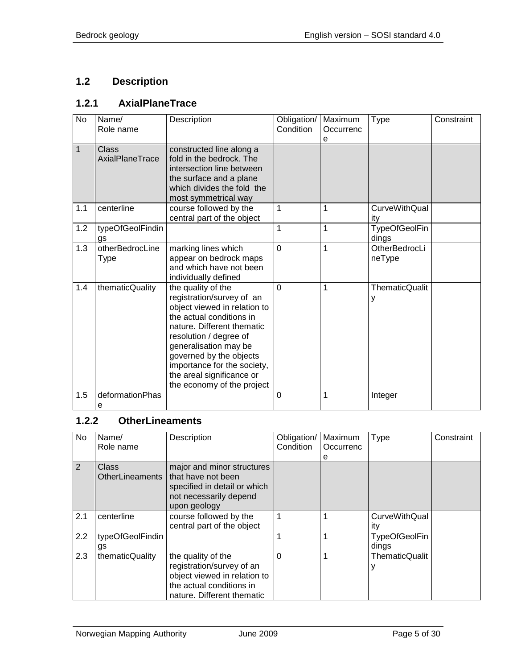# <span id="page-4-0"></span>**1.2 Description**

# <span id="page-4-1"></span>**1.2.1 AxialPlaneTrace**

| <b>No</b>    | Name/<br>Role name              | Description                                                                                                                                                                                                                                                                                                       | Obligation/<br>Condition | Maximum<br>Occurrenc<br>e | <b>Type</b>                   | Constraint |
|--------------|---------------------------------|-------------------------------------------------------------------------------------------------------------------------------------------------------------------------------------------------------------------------------------------------------------------------------------------------------------------|--------------------------|---------------------------|-------------------------------|------------|
| $\mathbf{1}$ | <b>Class</b><br>AxialPlaneTrace | constructed line along a<br>fold in the bedrock. The<br>intersection line between<br>the surface and a plane<br>which divides the fold the<br>most symmetrical way                                                                                                                                                |                          |                           |                               |            |
| 1.1          | centerline                      | course followed by the<br>central part of the object                                                                                                                                                                                                                                                              | 1                        | 1                         | <b>CurveWithQual</b><br>ity   |            |
| 1.2          | typeOfGeolFindin<br>gs          |                                                                                                                                                                                                                                                                                                                   | 1                        | $\mathbf 1$               | <b>TypeOfGeolFin</b><br>dings |            |
| 1.3          | otherBedrocLine<br>Type         | marking lines which<br>appear on bedrock maps<br>and which have not been<br>individually defined                                                                                                                                                                                                                  | $\overline{0}$           | 1                         | OtherBedrocLi<br>neType       |            |
| 1.4          | thematicQuality                 | the quality of the<br>registration/survey of an<br>object viewed in relation to<br>the actual conditions in<br>nature. Different thematic<br>resolution / degree of<br>generalisation may be<br>governed by the objects<br>importance for the society,<br>the areal significance or<br>the economy of the project | $\overline{0}$           | 1                         | <b>ThematicQualit</b><br>у    |            |
| 1.5          | deformationPhas<br>е            |                                                                                                                                                                                                                                                                                                                   | $\overline{0}$           | 1                         | Integer                       |            |

## <span id="page-4-2"></span>**1.2.2 OtherLineaments**

| No  | Name/<br>Role name              | Description                                                                                                                               | Obligation/<br>Condition | Maximum<br>Occurrenc<br>е | Type                          | Constraint |
|-----|---------------------------------|-------------------------------------------------------------------------------------------------------------------------------------------|--------------------------|---------------------------|-------------------------------|------------|
| 2   | <b>Class</b><br>OtherLineaments | major and minor structures<br>that have not been<br>specified in detail or which<br>not necessarily depend<br>upon geology                |                          |                           |                               |            |
| 2.1 | centerline                      | course followed by the<br>central part of the object                                                                                      |                          |                           | <b>CurveWithQual</b><br>ity   |            |
| 2.2 | typeOfGeolFindin<br>gs          |                                                                                                                                           |                          |                           | <b>TypeOfGeolFin</b><br>dings |            |
| 2.3 | thematicQuality                 | the quality of the<br>registration/survey of an<br>object viewed in relation to<br>the actual conditions in<br>nature. Different thematic | 0                        |                           | <b>ThematicQualit</b>         |            |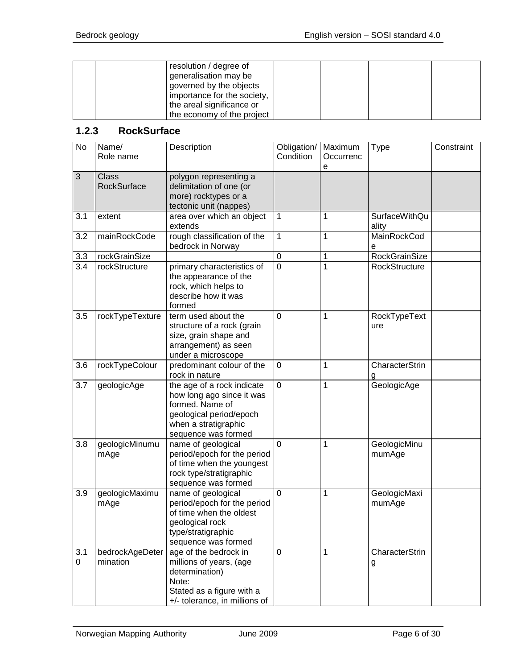|  | resolution / degree of<br>generalisation may be |  |  |
|--|-------------------------------------------------|--|--|
|  | governed by the objects                         |  |  |
|  | importance for the society,                     |  |  |
|  | the areal significance or                       |  |  |
|  | the economy of the project                      |  |  |

#### <span id="page-5-0"></span>**1.2.3 RockSurface**

| No               | Name/<br>Role name                 | Description                                                                                                                                          | Obligation/<br>Condition | Maximum<br>Occurrenc<br>е | <b>Type</b>                   | Constraint |
|------------------|------------------------------------|------------------------------------------------------------------------------------------------------------------------------------------------------|--------------------------|---------------------------|-------------------------------|------------|
| 3                | <b>Class</b><br><b>RockSurface</b> | polygon representing a<br>delimitation of one (or<br>more) rocktypes or a<br>tectonic unit (nappes)                                                  |                          |                           |                               |            |
| 3.1              | extent                             | area over which an object<br>extends                                                                                                                 | 1                        | 1                         | <b>SurfaceWithQu</b><br>ality |            |
| 3.2              | mainRockCode                       | rough classification of the<br>bedrock in Norway                                                                                                     | $\mathbf{1}$             | 1                         | <b>MainRockCod</b><br>e       |            |
| 3.3              | rockGrainSize                      |                                                                                                                                                      | $\pmb{0}$                | 1                         | <b>RockGrainSize</b>          |            |
| 3.4              | rockStructure                      | primary characteristics of<br>the appearance of the<br>rock, which helps to<br>describe how it was<br>formed                                         | $\mathbf 0$              | 1                         | RockStructure                 |            |
| 3.5              | rockTypeTexture                    | term used about the<br>structure of a rock (grain<br>size, grain shape and<br>arrangement) as seen<br>under a microscope                             | $\mathbf 0$              | 1                         | RockTypeText<br>ure           |            |
| 3.6              | rockTypeColour                     | predominant colour of the<br>rock in nature                                                                                                          | 0                        | 1                         | CharacterStrin                |            |
| $\overline{3.7}$ | geologicAge                        | the age of a rock indicate<br>how long ago since it was<br>formed. Name of<br>geological period/epoch<br>when a stratigraphic<br>sequence was formed | 0                        | 1                         | GeologicAge                   |            |
| 3.8              | geologicMinumu<br>mAge             | name of geological<br>period/epoch for the period<br>of time when the youngest<br>rock type/stratigraphic<br>sequence was formed                     | $\mathbf 0$              | 1                         | GeologicMinu<br>mumAge        |            |
| 3.9              | geologicMaximu<br>mAge             | name of geological<br>period/epoch for the period<br>of time when the oldest<br>geological rock<br>type/stratigraphic<br>sequence was formed         | $\mathbf 0$              | 1                         | GeologicMaxi<br>mumAge        |            |
| 3.1<br>0         | bedrockAgeDeter<br>mination        | age of the bedrock in<br>millions of years, (age<br>determination)<br>Note:<br>Stated as a figure with a<br>+/- tolerance, in millions of            | 0                        | 1                         | CharacterStrin<br>g           |            |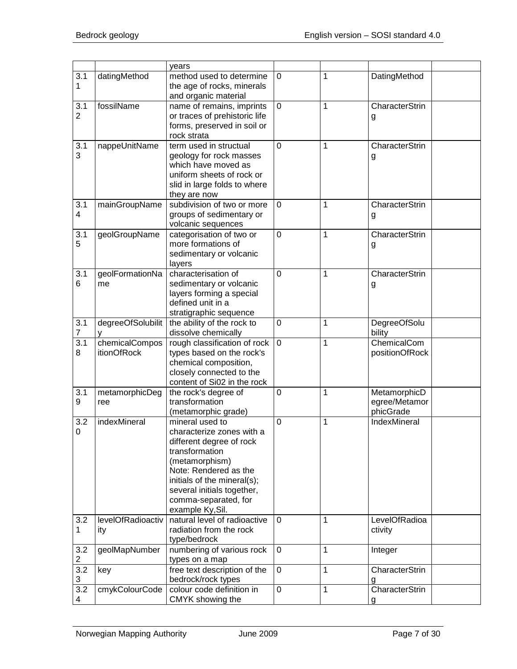|                       |                                      | years                                                                                                                                                                                                                                          |                |   |                                            |
|-----------------------|--------------------------------------|------------------------------------------------------------------------------------------------------------------------------------------------------------------------------------------------------------------------------------------------|----------------|---|--------------------------------------------|
| 3.1<br>1              | datingMethod                         | method used to determine<br>the age of rocks, minerals<br>and organic material                                                                                                                                                                 | $\mathbf 0$    | 1 | DatingMethod                               |
| 3.1<br>$\overline{2}$ | fossilName                           | name of remains, imprints<br>or traces of prehistoric life<br>forms, preserved in soil or<br>rock strata                                                                                                                                       | 0              | 1 | CharacterStrin<br>g                        |
| 3.1<br>3              | nappeUnitName                        | term used in structual<br>geology for rock masses<br>which have moved as<br>uniform sheets of rock or<br>slid in large folds to where<br>they are now                                                                                          | 0              | 1 | CharacterStrin<br>g                        |
| 3.1<br>4              | mainGroupName                        | subdivision of two or more<br>groups of sedimentary or<br>volcanic sequences                                                                                                                                                                   | $\overline{0}$ | 1 | CharacterStrin<br>g                        |
| 3.1<br>5              | geolGroupName                        | categorisation of two or<br>more formations of<br>sedimentary or volcanic<br>layers                                                                                                                                                            | $\mathbf 0$    | 1 | CharacterStrin<br>g                        |
| 3.1<br>6              | geolFormationNa<br>me                | characterisation of<br>sedimentary or volcanic<br>layers forming a special<br>defined unit in a<br>stratigraphic sequence                                                                                                                      | 0              | 1 | CharacterStrin<br>g                        |
| 3.1<br>7              | degreeOfSolubilit                    | the ability of the rock to<br>dissolve chemically                                                                                                                                                                                              | 0              | 1 | DegreeOfSolu<br>bility                     |
| 3.1<br>8              | chemicalCompos<br><i>itionOfRock</i> | rough classification of rock<br>types based on the rock's<br>chemical composition,<br>closely connected to the<br>content of Si02 in the rock                                                                                                  | $\mathbf 0$    | 1 | ChemicalCom<br>positionOfRock              |
| 3.1<br>9              | metamorphicDeg<br>ree                | the rock's degree of<br>transformation<br>(metamorphic grade)                                                                                                                                                                                  | $\mathbf 0$    | 1 | MetamorphicD<br>egree/Metamor<br>phicGrade |
| 3.2<br>0              | indexMineral                         | mineral used to<br>characterize zones with a<br>different degree of rock<br>transformation<br>(metamorphism)<br>Note: Rendered as the<br>initials of the mineral(s);<br>several initials together,<br>comma-separated, for<br>example Ky, Sil. | $\overline{0}$ | 1 | IndexMineral                               |
| 3.2<br>1              | levelOfRadioactiv<br>ity             | natural level of radioactive<br>radiation from the rock<br>type/bedrock                                                                                                                                                                        | 0              | 1 | LevelOfRadioa<br>ctivity                   |
| 3.2<br>2              | geolMapNumber                        | numbering of various rock<br>types on a map                                                                                                                                                                                                    | $\mathbf 0$    | 1 | Integer                                    |
| 3.2<br>3              | key                                  | free text description of the<br>bedrock/rock types                                                                                                                                                                                             | 0              | 1 | CharacterStrin                             |
| 3.2<br>4              | cmykColourCode                       | colour code definition in<br>CMYK showing the                                                                                                                                                                                                  | 0              | 1 | CharacterStrin<br>g                        |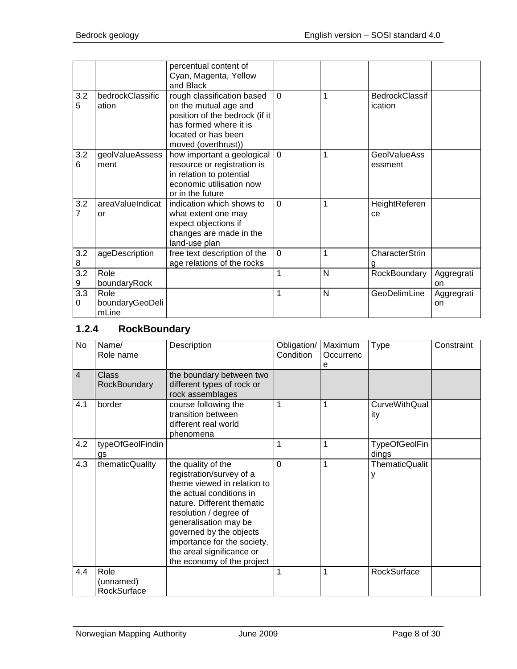|                       |                                  | percentual content of<br>Cyan, Magenta, Yellow<br>and Black                                                                                                   |             |              |                                  |                  |
|-----------------------|----------------------------------|---------------------------------------------------------------------------------------------------------------------------------------------------------------|-------------|--------------|----------------------------------|------------------|
| 3.2<br>5              | bedrockClassific<br>ation        | rough classification based<br>on the mutual age and<br>position of the bedrock (if it<br>has formed where it is<br>located or has been<br>moved (overthrust)) | $\Omega$    | 1            | <b>BedrockClassif</b><br>ication |                  |
| 3.2<br>6              | geolValueAssess<br>ment          | how important a geological<br>resource or registration is<br>in relation to potential<br>economic utilisation now<br>or in the future                         | $\Omega$    | $\mathbf{1}$ | <b>GeolValueAss</b><br>essment   |                  |
| 3.2<br>7              | areaValueIndicat<br>or           | indication which shows to<br>what extent one may<br>expect objections if<br>changes are made in the<br>land-use plan                                          | $\Omega$    | 1            | HeightReferen<br>ce              |                  |
| 3.2<br>8              | ageDescription                   | free text description of the<br>age relations of the rocks                                                                                                    | $\mathbf 0$ | $\mathbf{1}$ | CharacterStrin                   |                  |
| $\overline{3.2}$<br>9 | Role<br>boundaryRock             |                                                                                                                                                               | $\mathbf 1$ | N            | RockBoundary                     | Aggregrati<br>on |
| 3.3<br>0              | Role<br>boundaryGeoDeli<br>mLine |                                                                                                                                                               | 1           | N            | GeoDelimLine                     | Aggregrati<br>on |

## <span id="page-7-0"></span>**1.2.4 RockBoundary**

| <b>No</b> | Name/<br>Role name           | Description                                                                                                                                                                                                                                                                                                     | Obligation/<br>Condition | Maximum<br>Occurrenc<br>е | <b>Type</b>                   | Constraint |
|-----------|------------------------------|-----------------------------------------------------------------------------------------------------------------------------------------------------------------------------------------------------------------------------------------------------------------------------------------------------------------|--------------------------|---------------------------|-------------------------------|------------|
| 4         | <b>Class</b><br>RockBoundary | the boundary between two<br>different types of rock or<br>rock assemblages                                                                                                                                                                                                                                      |                          |                           |                               |            |
| 4.1       | border                       | course following the<br>transition between<br>different real world<br>phenomena                                                                                                                                                                                                                                 | 1                        | 1                         | <b>CurveWithQual</b><br>ity   |            |
| 4.2       | typeOfGeolFindin<br>gs       |                                                                                                                                                                                                                                                                                                                 | 1                        | 1                         | <b>TypeOfGeolFin</b><br>dings |            |
| 4.3       | thematicQuality              | the quality of the<br>registration/survey of a<br>theme viewed in relation to<br>the actual conditions in<br>nature. Different thematic<br>resolution / degree of<br>generalisation may be<br>governed by the objects<br>importance for the society,<br>the areal significance or<br>the economy of the project | $\Omega$                 | 1                         | <b>ThematicQualit</b><br>у    |            |
| 4.4       | Role<br>(unnamed)            |                                                                                                                                                                                                                                                                                                                 | 1                        | 1                         | RockSurface                   |            |
|           | RockSurface                  |                                                                                                                                                                                                                                                                                                                 |                          |                           |                               |            |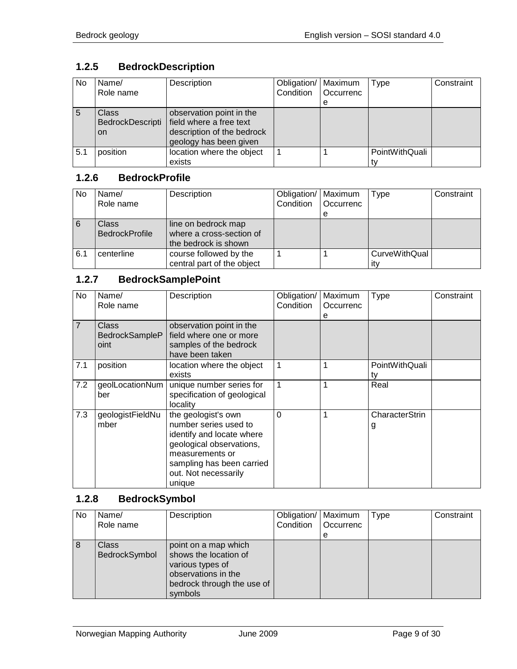# <span id="page-8-0"></span>**1.2.5 BedrockDescription**

| <b>No</b> | Name/<br>Role name                            | Description                                                                                                 | Obligation/<br>Condition | Maximum<br><b>Occurrenc</b> | <b>Type</b>    | Constraint |
|-----------|-----------------------------------------------|-------------------------------------------------------------------------------------------------------------|--------------------------|-----------------------------|----------------|------------|
|           |                                               |                                                                                                             |                          | e                           |                |            |
|           | <b>Class</b><br>BedrockDescripti<br><b>on</b> | observation point in the<br>field where a free text<br>description of the bedrock<br>geology has been given |                          |                             |                |            |
| 5.1       | position                                      | location where the object<br>exists                                                                         |                          |                             | PointWithQuali |            |

#### <span id="page-8-1"></span>**1.2.6 BedrockProfile**

| <b>No</b> | Name/                 | Description                | Obligation/   Maximum |           | Type                 | Constraint |
|-----------|-----------------------|----------------------------|-----------------------|-----------|----------------------|------------|
|           | Role name             |                            | Condition             | Occurrenc |                      |            |
|           |                       |                            |                       | е         |                      |            |
| 6         | <b>Class</b>          | line on bedrock map        |                       |           |                      |            |
|           | <b>BedrockProfile</b> | where a cross-section of   |                       |           |                      |            |
|           |                       | the bedrock is shown       |                       |           |                      |            |
| 6.1       | centerline            | course followed by the     |                       |           | <b>CurveWithQual</b> |            |
|           |                       | central part of the object |                       |           | ıt۷                  |            |

## <span id="page-8-2"></span>**1.2.7 BedrockSamplePoint**

| No.            | Name/<br>Role name                     | Description                                                                                                                                                                             | Obligation/<br>Condition | Maximum<br>Occurrenc<br>е | <b>Type</b>          | Constraint |
|----------------|----------------------------------------|-----------------------------------------------------------------------------------------------------------------------------------------------------------------------------------------|--------------------------|---------------------------|----------------------|------------|
| $\overline{7}$ | <b>Class</b><br>BedrockSampleP<br>oint | observation point in the<br>field where one or more<br>samples of the bedrock<br>have been taken                                                                                        |                          |                           |                      |            |
| 7.1            | position                               | location where the object<br>exists                                                                                                                                                     | 1                        | 1                         | PointWithQuali<br>tv |            |
| 7.2            | geolLocationNum<br>ber                 | unique number series for<br>specification of geological<br>locality                                                                                                                     | 1                        | 1                         | Real                 |            |
| 7.3            | geologistFieldNu<br>mber               | the geologist's own<br>number series used to<br>identify and locate where<br>geological observations,<br>measurements or<br>sampling has been carried<br>out. Not necessarily<br>unique | $\Omega$                 | 1                         | CharacterStrin<br>g  |            |

# <span id="page-8-3"></span>**1.2.8 BedrockSymbol**

| No | Name/<br>Role name     | Description                                                                                                                       | Obligation/   Maximum<br>Condition | Occurrenc<br>е | Type | Constraint |
|----|------------------------|-----------------------------------------------------------------------------------------------------------------------------------|------------------------------------|----------------|------|------------|
| 8  | Class<br>BedrockSymbol | point on a map which<br>shows the location of<br>various types of<br>observations in the<br>bedrock through the use of<br>symbols |                                    |                |      |            |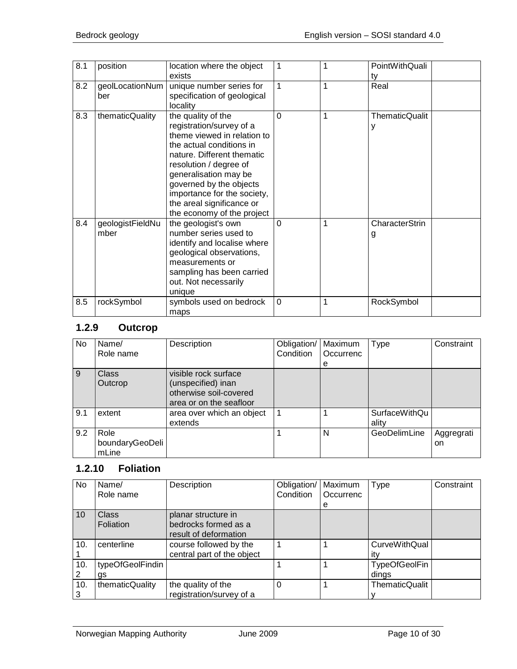| 8.1 | position                 | location where the object<br>exists                                                                                                                                                                                                                                                                             | $\mathbf{1}$   | 1 | PointWithQuali<br>ty |
|-----|--------------------------|-----------------------------------------------------------------------------------------------------------------------------------------------------------------------------------------------------------------------------------------------------------------------------------------------------------------|----------------|---|----------------------|
| 8.2 | geolLocationNum<br>ber   | unique number series for<br>specification of geological<br>locality                                                                                                                                                                                                                                             | $\mathbf{1}$   | 1 | Real                 |
| 8.3 | thematicQuality          | the quality of the<br>registration/survey of a<br>theme viewed in relation to<br>the actual conditions in<br>nature. Different thematic<br>resolution / degree of<br>generalisation may be<br>governed by the objects<br>importance for the society,<br>the areal significance or<br>the economy of the project | $\Omega$       | 1 | ThematicQualit<br>у  |
| 8.4 | geologistFieldNu<br>mber | the geologist's own<br>number series used to<br>identify and localise where<br>geological observations,<br>measurements or<br>sampling has been carried<br>out. Not necessarily<br>unique                                                                                                                       | $\Omega$       | 1 | CharacterStrin<br>g  |
| 8.5 | rockSymbol               | symbols used on bedrock<br>maps                                                                                                                                                                                                                                                                                 | $\overline{0}$ | 1 | RockSymbol           |

# <span id="page-9-0"></span>**1.2.9 Outcrop**

| No. | Name/<br>Role name               | Description                                                                                     | Obligation/<br>Condition | Maximum<br>Occurrenc<br>е | <b>Type</b>            | Constraint       |
|-----|----------------------------------|-------------------------------------------------------------------------------------------------|--------------------------|---------------------------|------------------------|------------------|
| 9   | Class<br>Outcrop                 | visible rock surface<br>(unspecified) inan<br>otherwise soil-covered<br>area or on the seafloor |                          |                           |                        |                  |
| 9.1 | extent                           | area over which an object<br>extends                                                            |                          |                           | SurfaceWithQu<br>ality |                  |
| 9.2 | Role<br>boundaryGeoDeli<br>mLine |                                                                                                 |                          | N                         | GeoDelimLine           | Aggregrati<br>on |

# <span id="page-9-1"></span>**1.2.10 Foliation**

| No  | Name/            | Description                | Obligation/ | Maximum   | Type                 | Constraint |
|-----|------------------|----------------------------|-------------|-----------|----------------------|------------|
|     | Role name        |                            | Condition   | Occurrenc |                      |            |
|     |                  |                            |             | e         |                      |            |
| 10  | <b>Class</b>     | planar structure in        |             |           |                      |            |
|     | Foliation        | bedrocks formed as a       |             |           |                      |            |
|     |                  | result of deformation      |             |           |                      |            |
| 10. | centerline       | course followed by the     |             |           | <b>CurveWithQual</b> |            |
|     |                  | central part of the object |             |           | itv                  |            |
| 10. | typeOfGeolFindin |                            |             |           | <b>TypeOfGeolFin</b> |            |
|     | gs               |                            |             |           | dings                |            |
| 10. | thematicQuality  | the quality of the         | 0           |           | ThematicQualit       |            |
|     |                  | registration/survey of a   |             |           |                      |            |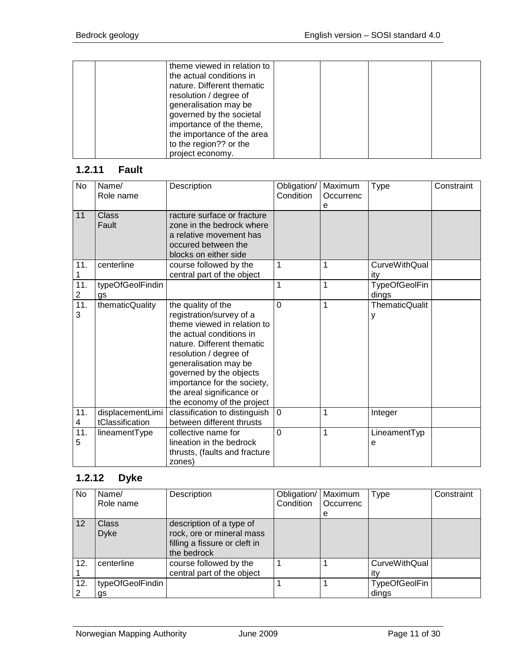|  | theme viewed in relation to<br>the actual conditions in<br>nature. Different thematic<br>resolution / degree of<br>generalisation may be<br>governed by the societal<br>importance of the theme, |  |  |
|--|--------------------------------------------------------------------------------------------------------------------------------------------------------------------------------------------------|--|--|
|  | the importance of the area                                                                                                                                                                       |  |  |
|  | to the region?? or the<br>project economy.                                                                                                                                                       |  |  |

# <span id="page-10-0"></span>**1.2.11 Fault**

| No                    | Name/<br>Role name                  | Description                                                                                                                                                                                                                                                                                                     | Obligation/<br>Condition | Maximum<br>Occurrenc<br>е | Type                          | Constraint |
|-----------------------|-------------------------------------|-----------------------------------------------------------------------------------------------------------------------------------------------------------------------------------------------------------------------------------------------------------------------------------------------------------------|--------------------------|---------------------------|-------------------------------|------------|
| 11                    | Class<br>Fault                      | racture surface or fracture<br>zone in the bedrock where<br>a relative movement has<br>occured between the<br>blocks on either side                                                                                                                                                                             |                          |                           |                               |            |
| 11.<br>1              | centerline                          | course followed by the<br>central part of the object                                                                                                                                                                                                                                                            | 1                        | 1                         | CurveWithQual<br>itv          |            |
| 11.<br>$\overline{2}$ | typeOfGeolFindin<br>as              |                                                                                                                                                                                                                                                                                                                 | $\mathbf{1}$             | 1                         | <b>TypeOfGeolFin</b><br>dings |            |
| 11.<br>3              | thematicQuality                     | the quality of the<br>registration/survey of a<br>theme viewed in relation to<br>the actual conditions in<br>nature. Different thematic<br>resolution / degree of<br>generalisation may be<br>governed by the objects<br>importance for the society,<br>the areal significance or<br>the economy of the project | $\Omega$                 | 1                         | <b>ThematicQualit</b><br>у    |            |
| 11.<br>4              | displacementLimi<br>tClassification | classification to distinguish<br>between different thrusts                                                                                                                                                                                                                                                      | $\overline{0}$           | 1                         | Integer                       |            |
| 11.<br>5              | lineamentType                       | collective name for<br>lineation in the bedrock<br>thrusts, (faults and fracture<br>zones)                                                                                                                                                                                                                      | $\Omega$                 | $\overline{1}$            | LineamentTyp<br>е             |            |

# <span id="page-10-1"></span>**1.2.12 Dyke**

| No. | Name/<br>Role name          | Description                                                                                           | Obligation/<br>Condition | Maximum<br>Occurrenc<br>е | Type                          | Constraint |
|-----|-----------------------------|-------------------------------------------------------------------------------------------------------|--------------------------|---------------------------|-------------------------------|------------|
| 12  | <b>Class</b><br><b>Dyke</b> | description of a type of<br>rock, ore or mineral mass<br>filling a fissure or cleft in<br>the bedrock |                          |                           |                               |            |
| 12. | centerline                  | course followed by the<br>central part of the object                                                  |                          |                           | <b>CurveWithQual</b><br>ıtv   |            |
| 12. | typeOfGeolFindin<br>gs      |                                                                                                       |                          |                           | <b>TypeOfGeolFin</b><br>dings |            |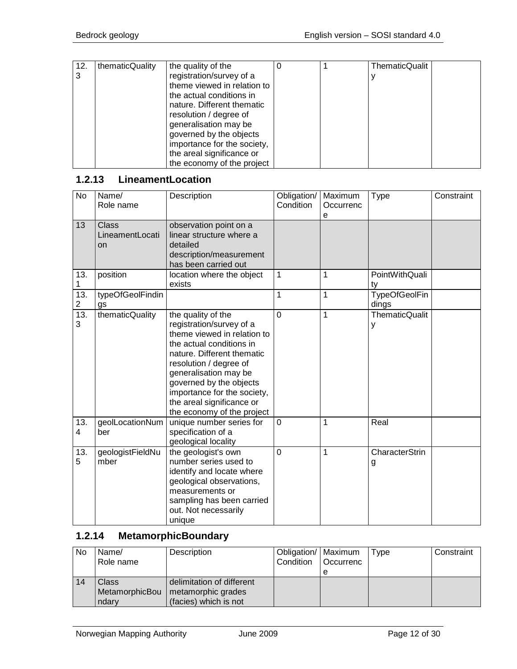| 12. | thematicQuality | the quality of the          |  | <b>ThematicQualit</b> |  |
|-----|-----------------|-----------------------------|--|-----------------------|--|
| 3   |                 | registration/survey of a    |  |                       |  |
|     |                 | theme viewed in relation to |  |                       |  |
|     |                 | the actual conditions in    |  |                       |  |
|     |                 | nature. Different thematic  |  |                       |  |
|     |                 | resolution / degree of      |  |                       |  |
|     |                 | generalisation may be       |  |                       |  |
|     |                 | governed by the objects     |  |                       |  |
|     |                 | importance for the society, |  |                       |  |
|     |                 | the areal significance or   |  |                       |  |
|     |                 | the economy of the project  |  |                       |  |

# <span id="page-11-0"></span>**1.2.13 LineamentLocation**

| No       | Name/<br>Role name             | Description                                                                                                                                                                                                                                                                                                     | Obligation/<br>Condition | Maximum<br>Occurrenc<br>e | Type                          | Constraint |
|----------|--------------------------------|-----------------------------------------------------------------------------------------------------------------------------------------------------------------------------------------------------------------------------------------------------------------------------------------------------------------|--------------------------|---------------------------|-------------------------------|------------|
| 13       | Class<br>LineamentLocati<br>on | observation point on a<br>linear structure where a<br>detailed<br>description/measurement<br>has been carried out                                                                                                                                                                                               |                          |                           |                               |            |
| 13.<br>1 | position                       | location where the object<br>exists                                                                                                                                                                                                                                                                             | 1                        | 1                         | PointWithQuali<br>ty          |            |
| 13.<br>2 | typeOfGeolFindin<br>gs         |                                                                                                                                                                                                                                                                                                                 | $\mathbf{1}$             | $\mathbf{1}$              | <b>TypeOfGeolFin</b><br>dings |            |
| 13.<br>3 | thematicQuality                | the quality of the<br>registration/survey of a<br>theme viewed in relation to<br>the actual conditions in<br>nature. Different thematic<br>resolution / degree of<br>generalisation may be<br>governed by the objects<br>importance for the society,<br>the areal significance or<br>the economy of the project | $\overline{0}$           | 1                         | <b>ThematicQualit</b><br>У    |            |
| 13.<br>4 | geolLocationNum<br>ber         | unique number series for<br>specification of a<br>geological locality                                                                                                                                                                                                                                           | $\overline{0}$           | 1                         | Real                          |            |
| 13.<br>5 | geologistFieldNu<br>mber       | the geologist's own<br>number series used to<br>identify and locate where<br>geological observations,<br>measurements or<br>sampling has been carried<br>out. Not necessarily<br>unique                                                                                                                         | $\overline{0}$           | 1                         | CharacterStrin<br>g           |            |

# <span id="page-11-1"></span>**1.2.14 MetamorphicBoundary**

| No. | Name/<br>Role name               | Description                                                              | Obligation/   Maximum<br>Condition   Occurrenc | Type | Constraint |
|-----|----------------------------------|--------------------------------------------------------------------------|------------------------------------------------|------|------------|
| 14  | Class<br>MetamorphicBou<br>ndarv | delimitation of different<br>metamorphic grades<br>(facies) which is not |                                                |      |            |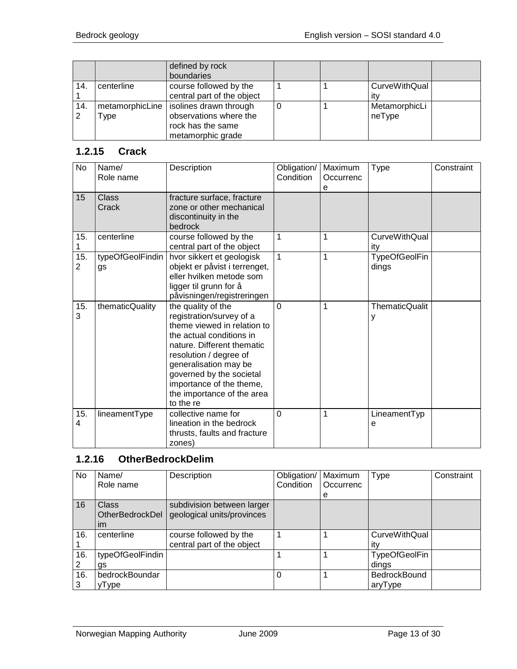|     |                 | defined by rock<br>boundaries |  |                      |  |
|-----|-----------------|-------------------------------|--|----------------------|--|
| 14. | centerline      | course followed by the        |  | <b>CurveWithQual</b> |  |
|     |                 | central part of the object    |  | ıt۷                  |  |
| 14. | metamorphicLine | isolines drawn through        |  | MetamorphicLi        |  |
|     | Гуре            | observations where the        |  | neType               |  |
|     |                 | rock has the same             |  |                      |  |
|     |                 | metamorphic grade             |  |                      |  |

#### <span id="page-12-0"></span>**1.2.15 Crack**

| No       | Name/<br>Role name     | Description                                                                                                                                                                                                                                                                                   | Obligation/<br>Condition | Maximum<br>Occurrenc<br>е | <b>Type</b>                   | Constraint |
|----------|------------------------|-----------------------------------------------------------------------------------------------------------------------------------------------------------------------------------------------------------------------------------------------------------------------------------------------|--------------------------|---------------------------|-------------------------------|------------|
| 15       | <b>Class</b><br>Crack  | fracture surface, fracture<br>zone or other mechanical<br>discontinuity in the<br>bedrock                                                                                                                                                                                                     |                          |                           |                               |            |
| 15.<br>1 | centerline             | course followed by the<br>central part of the object                                                                                                                                                                                                                                          | $\mathbf{1}$             | 1                         | <b>CurveWithQual</b><br>ity   |            |
| 15.<br>2 | typeOfGeolFindin<br>gs | hvor sikkert et geologisk<br>objekt er påvist i terrenget,<br>eller hvilken metode som<br>ligger til grunn for å<br>påvisningen/registreringen                                                                                                                                                | $\mathbf{1}$             | 1                         | <b>TypeOfGeolFin</b><br>dings |            |
| 15.<br>3 | thematicQuality        | the quality of the<br>registration/survey of a<br>theme viewed in relation to<br>the actual conditions in<br>nature. Different thematic<br>resolution / degree of<br>generalisation may be<br>governed by the societal<br>importance of the theme,<br>the importance of the area<br>to the re | $\mathbf 0$              | 1                         | <b>ThematicQualit</b><br>у    |            |
| 15.<br>4 | lineamentType          | collective name for<br>lineation in the bedrock<br>thrusts, faults and fracture<br>zones)                                                                                                                                                                                                     | $\overline{0}$           | 1                         | LineamentTyp<br>e             |            |

# <span id="page-12-1"></span>**1.2.16 OtherBedrockDelim**

| No  | Name/                                 | Description                                              | Obligation/ | Maximum   | Type                        | Constraint |
|-----|---------------------------------------|----------------------------------------------------------|-------------|-----------|-----------------------------|------------|
|     | Role name                             |                                                          | Condition   | Occurrenc |                             |            |
|     |                                       |                                                          |             | е         |                             |            |
| 16  | <b>Class</b><br>OtherBedrockDel<br>im | subdivision between larger<br>geological units/provinces |             |           |                             |            |
| 16. | centerline                            | course followed by the<br>central part of the object     |             |           | <b>CurveWithQual</b><br>itv |            |
| 16. | typeOfGeolFindin                      |                                                          |             |           | <b>TypeOfGeolFin</b>        |            |
| 2   | gs                                    |                                                          |             |           | dings                       |            |
| 16. | bedrockBoundar                        |                                                          | $\Omega$    |           | <b>BedrockBound</b>         |            |
| 3   | yType                                 |                                                          |             |           | aryType                     |            |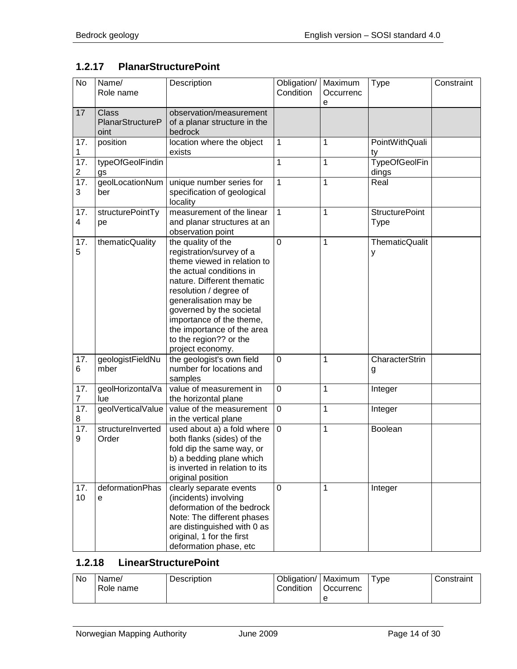# <span id="page-13-0"></span>**1.2.17 PlanarStructurePoint**

| <b>No</b>                      | Name/<br>Role name                       | Description                                                                                                                                                                                                                                                                                                                    | Obligation/<br>Condition | Maximum<br>Occurrenc<br>е | <b>Type</b>                   | Constraint |
|--------------------------------|------------------------------------------|--------------------------------------------------------------------------------------------------------------------------------------------------------------------------------------------------------------------------------------------------------------------------------------------------------------------------------|--------------------------|---------------------------|-------------------------------|------------|
| 17                             | <b>Class</b><br>PlanarStructureP<br>oint | observation/measurement<br>of a planar structure in the<br>bedrock                                                                                                                                                                                                                                                             |                          |                           |                               |            |
| 17.<br>1                       | position                                 | location where the object<br>exists                                                                                                                                                                                                                                                                                            | 1                        | 1                         | PointWithQuali<br>ty          |            |
| 17.<br>$\overline{\mathbf{c}}$ | typeOfGeolFindin<br>gs                   |                                                                                                                                                                                                                                                                                                                                | 1                        | 1                         | <b>TypeOfGeolFin</b><br>dings |            |
| $\overline{17}$ .<br>3         | geolLocationNum<br>ber                   | unique number series for<br>specification of geological<br>locality                                                                                                                                                                                                                                                            | 1                        | 1                         | Real                          |            |
| 17.<br>4                       | structurePointTy<br>pe                   | measurement of the linear<br>and planar structures at an<br>observation point                                                                                                                                                                                                                                                  | 1                        | 1                         | <b>StructurePoint</b><br>Type |            |
| 17.<br>5                       | thematicQuality                          | the quality of the<br>registration/survey of a<br>theme viewed in relation to<br>the actual conditions in<br>nature. Different thematic<br>resolution / degree of<br>generalisation may be<br>governed by the societal<br>importance of the theme,<br>the importance of the area<br>to the region?? or the<br>project economy. | $\overline{0}$           | 1                         | <b>ThematicQualit</b><br>У    |            |
| 17.<br>6                       | geologistFieldNu<br>mber                 | the geologist's own field<br>number for locations and<br>samples                                                                                                                                                                                                                                                               | 0                        | 1                         | CharacterStrin<br>g           |            |
| 17.<br>$\overline{7}$          | geolHorizontalVa<br>lue                  | value of measurement in<br>the horizontal plane                                                                                                                                                                                                                                                                                | 0                        | 1                         | Integer                       |            |
| 17.<br>8                       | geolVerticalValue                        | value of the measurement<br>in the vertical plane                                                                                                                                                                                                                                                                              | $\mathbf 0$              | 1                         | Integer                       |            |
| 17.<br>9                       | structureInverted<br>Order               | used about a) a fold where<br>both flanks (sides) of the<br>fold dip the same way, or<br>b) a bedding plane which<br>is inverted in relation to its<br>original position                                                                                                                                                       | $\mathbf 0$              | 1                         | Boolean                       |            |
| 17.<br>10                      | deformationPhas<br>е                     | clearly separate events<br>(incidents) involving<br>deformation of the bedrock<br>Note: The different phases<br>are distinguished with 0 as<br>original, 1 for the first<br>deformation phase, etc                                                                                                                             | 0                        | 1                         | Integer                       |            |

# <span id="page-13-1"></span>**1.2.18 LinearStructurePoint**

| No | Name/<br>Role name | Description | Obligation/   Maximum<br>Condition | l Occurrenc | ype | Constraint |
|----|--------------------|-------------|------------------------------------|-------------|-----|------------|
|    |                    |             |                                    | e           |     |            |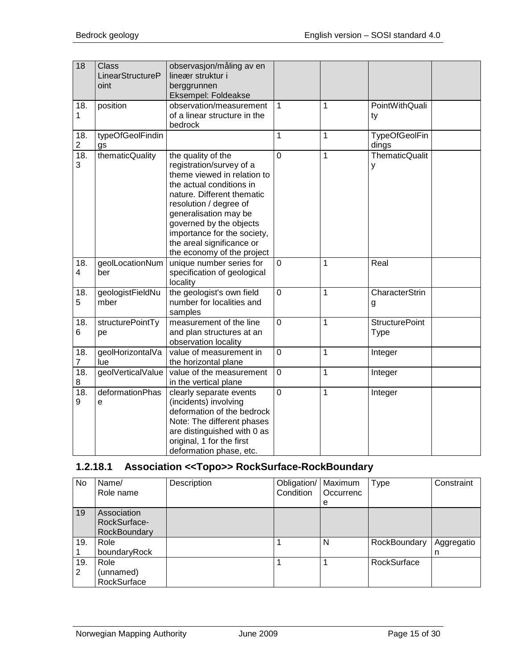| $\overline{18}$       | <b>Class</b><br>LinearStructureP<br>oint | observasjon/måling av en<br>lineær struktur i<br>berggrunnen<br>Eksempel: Foldeakse                                                                                                                                                                                                                             |                |              |                               |  |
|-----------------------|------------------------------------------|-----------------------------------------------------------------------------------------------------------------------------------------------------------------------------------------------------------------------------------------------------------------------------------------------------------------|----------------|--------------|-------------------------------|--|
| 18.<br>1              | position                                 | observation/measurement<br>of a linear structure in the<br>bedrock                                                                                                                                                                                                                                              | $\overline{1}$ | 1            | PointWithQuali<br>ty          |  |
| 18.<br>$\overline{c}$ | typeOfGeolFindin<br>gs                   |                                                                                                                                                                                                                                                                                                                 | 1              | 1            | <b>TypeOfGeolFin</b><br>dings |  |
| 18.<br>3              | thematicQuality                          | the quality of the<br>registration/survey of a<br>theme viewed in relation to<br>the actual conditions in<br>nature. Different thematic<br>resolution / degree of<br>generalisation may be<br>governed by the objects<br>importance for the society,<br>the areal significance or<br>the economy of the project | $\overline{0}$ | 1            | <b>ThematicQualit</b><br>у    |  |
| 18.<br>4              | geolLocationNum<br>ber                   | unique number series for<br>specification of geological<br>locality                                                                                                                                                                                                                                             | $\mathbf 0$    | 1            | Real                          |  |
| 18.<br>5              | geologistFieldNu<br>mber                 | the geologist's own field<br>number for localities and<br>samples                                                                                                                                                                                                                                               | $\overline{0}$ | 1            | CharacterStrin<br>g           |  |
| 18.<br>6              | structurePointTy<br>pe                   | measurement of the line<br>and plan structures at an<br>observation locality                                                                                                                                                                                                                                    | $\overline{0}$ | 1            | <b>StructurePoint</b><br>Type |  |
| 18.<br>$\overline{7}$ | geolHorizontalVa<br>lue                  | value of measurement in<br>the horizontal plane                                                                                                                                                                                                                                                                 | $\mathbf 0$    | 1            | Integer                       |  |
| 18.<br>8              | geolVerticalValue                        | value of the measurement<br>in the vertical plane                                                                                                                                                                                                                                                               | $\overline{0}$ | $\mathbf{1}$ | Integer                       |  |
| 18.<br>9              | deformationPhas<br>e                     | clearly separate events<br>(incidents) involving<br>deformation of the bedrock<br>Note: The different phases<br>are distinguished with 0 as<br>original, 1 for the first<br>deformation phase, etc.                                                                                                             | $\overline{0}$ | 1            | Integer                       |  |

# <span id="page-14-0"></span>**1.2.18.1 Association <<Topo>> RockSurface-RockBoundary**

| <b>No</b> | Name/<br>Role name                          | Description | Obligation/<br>Condition | Maximum<br>Occurrenc<br>е | Type         | Constraint      |
|-----------|---------------------------------------------|-------------|--------------------------|---------------------------|--------------|-----------------|
| 19        | Association<br>RockSurface-<br>RockBoundary |             |                          |                           |              |                 |
| 19.       | Role<br>boundaryRock                        |             |                          | N                         | RockBoundary | Aggregatio<br>n |
| 19.<br>2  | Role<br>(unnamed)<br>RockSurface            |             |                          |                           | RockSurface  |                 |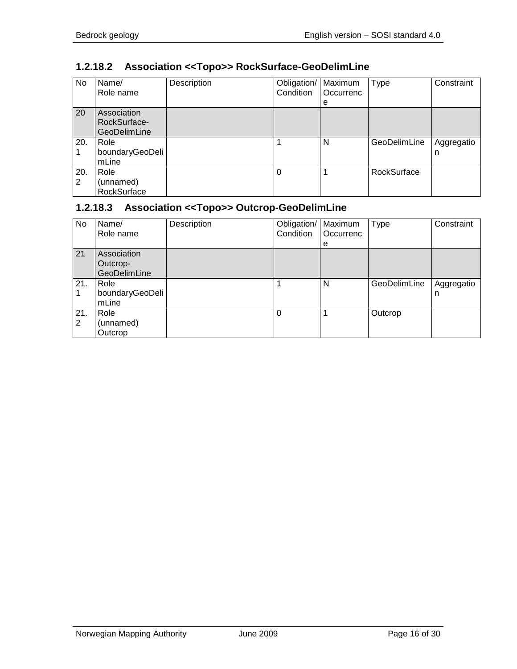# <span id="page-15-0"></span>**1.2.18.2 Association <<Topo>> RockSurface-GeoDelimLine**

| No       | Name/<br>Role name                                 | Description | Obligation/<br>Condition | Maximum<br>Occurrenc<br>e | <b>Type</b>  | Constraint      |
|----------|----------------------------------------------------|-------------|--------------------------|---------------------------|--------------|-----------------|
| 20       | Association<br>RockSurface-<br><b>GeoDelimLine</b> |             |                          |                           |              |                 |
| 20.      | Role<br>boundaryGeoDeli<br>mLine                   |             |                          | N                         | GeoDelimLine | Aggregatio<br>n |
| 20.<br>2 | Role<br>(unnamed)<br>RockSurface                   |             | $\Omega$                 |                           | RockSurface  |                 |

# <span id="page-15-1"></span>**1.2.18.3 Association <<Topo>> Outcrop-GeoDelimLine**

| No.      | Name/<br>Role name                      | Description | Obligation/<br>Condition | Maximum<br>Occurrenc<br>е | <b>Type</b>  | Constraint      |
|----------|-----------------------------------------|-------------|--------------------------|---------------------------|--------------|-----------------|
| 21       | Association<br>Outcrop-<br>GeoDelimLine |             |                          |                           |              |                 |
| 21.      | Role<br>boundaryGeoDeli<br>mLine        |             |                          | N                         | GeoDelimLine | Aggregatio<br>n |
| 21.<br>2 | Role<br>(unnamed)<br>Outcrop            |             | 0                        |                           | Outcrop      |                 |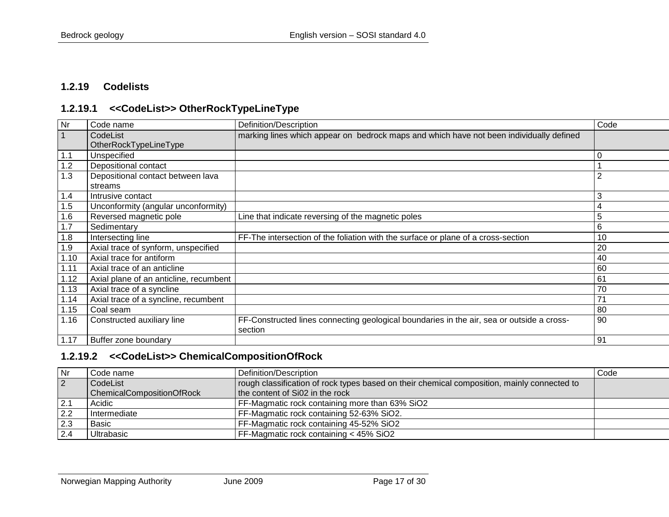#### **1.2.19 Codelists**

#### **1.2.19.1 <<CodeList>> OtherRockTypeLineType**

<span id="page-16-0"></span>

| Nr   | Code name                              | Definition/Description                                                                    | Code           |
|------|----------------------------------------|-------------------------------------------------------------------------------------------|----------------|
|      | CodeList                               | marking lines which appear on bedrock maps and which have not been individually defined   |                |
|      | OtherRockTypeLineType                  |                                                                                           |                |
| 1.1  | Unspecified                            |                                                                                           | 0              |
| 1.2  | Depositional contact                   |                                                                                           |                |
| 1.3  | Depositional contact between lava      |                                                                                           | $\overline{2}$ |
|      | streams                                |                                                                                           |                |
| 1.4  | Intrusive contact                      |                                                                                           | 3              |
| 1.5  | Unconformity (angular unconformity)    |                                                                                           | 4              |
| 1.6  | Reversed magnetic pole                 | Line that indicate reversing of the magnetic poles                                        | 5              |
| 1.7  | Sedimentary                            |                                                                                           | 6              |
| 1.8  | Intersecting line                      | FF-The intersection of the foliation with the surface or plane of a cross-section         | 10             |
| 1.9  | Axial trace of synform, unspecified    |                                                                                           | 20             |
| 1.10 | Axial trace for antiform               |                                                                                           | 40             |
| 1.11 | Axial trace of an anticline            |                                                                                           | 60             |
| 1.12 | Axial plane of an anticline, recumbent |                                                                                           | 61             |
| 1.13 | Axial trace of a syncline              |                                                                                           | 70             |
| 1.14 | Axial trace of a syncline, recumbent   |                                                                                           | 71             |
| 1.15 | Coal seam                              |                                                                                           | 80             |
| 1.16 | Constructed auxiliary line             | FF-Constructed lines connecting geological boundaries in the air, sea or outside a cross- | 90             |
|      |                                        | section                                                                                   |                |
| 1.17 | Buffer zone boundary                   |                                                                                           | 91             |

## <span id="page-16-1"></span>**1.2.19.2 <<CodeList>> ChemicalCompositionOfRock**

<span id="page-16-2"></span>

| Nr               | Code name                        | Definition/Description                                                                      | Code |
|------------------|----------------------------------|---------------------------------------------------------------------------------------------|------|
| $\vert$ 2        | CodeList                         | rough classification of rock types based on their chemical composition, mainly connected to |      |
|                  | <b>ChemicalCompositionOfRock</b> | the content of Si02 in the rock                                                             |      |
| $\overline{2.1}$ | Acidic                           | FF-Magmatic rock containing more than 63% SiO2                                              |      |
| 2.2              | Intermediate                     | FF-Magmatic rock containing 52-63% SiO2.                                                    |      |
| 12.3             | Basic                            | FF-Magmatic rock containing 45-52% SiO2                                                     |      |
| 12.4             | Ultrabasic                       | FF-Magmatic rock containing < 45% SiO2                                                      |      |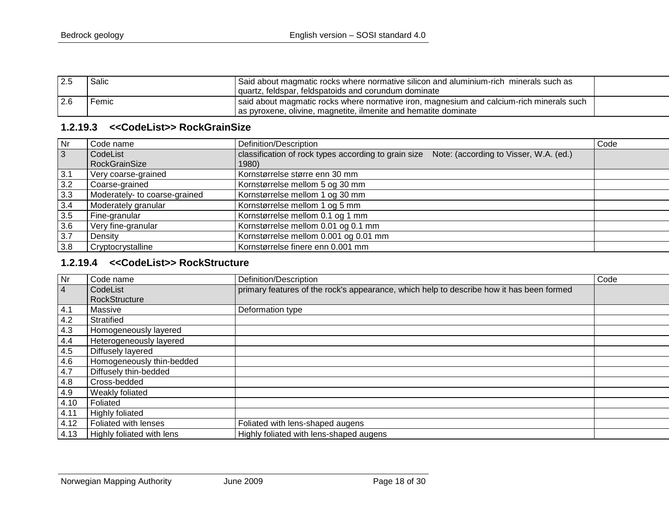| 2.5   | Salic | Said about magmatic rocks where normative silicon and aluminium-rich minerals such as    |  |
|-------|-------|------------------------------------------------------------------------------------------|--|
|       |       | quartz, feldspar, feldspatoids and corundum dominate                                     |  |
| l 2.6 | Femic | said about magmatic rocks where normative iron, magnesium and calcium-rich minerals such |  |
|       |       | as pyroxene, olivine, magnetite, ilmenite and hematite dominate                          |  |

#### **1.2.19.3 <<CodeList>> RockGrainSize**

| $\overline{\mathsf{Nr}}$ | I Code name                   | Definition/Description                                                                         | Code |
|--------------------------|-------------------------------|------------------------------------------------------------------------------------------------|------|
| $\overline{3}$           | CodeList                      | Note: (according to Visser, W.A. (ed.)<br>classification of rock types according to grain size |      |
|                          | <b>RockGrainSize</b>          | 1980)                                                                                          |      |
| 3.1                      | Very coarse-grained           | Kornstørrelse større enn 30 mm                                                                 |      |
| 3.2                      | Coarse-grained                | Kornstørrelse mellom 5 og 30 mm                                                                |      |
| 3.3                      | Moderately- to coarse-grained | Kornstørrelse mellom 1 og 30 mm                                                                |      |
| 3.4                      | Moderately granular           | Kornstørrelse mellom 1 og 5 mm                                                                 |      |
| 3.5                      | Fine-granular                 | Kornstørrelse mellom 0.1 og 1 mm                                                               |      |
| 3.6                      | Very fine-granular            | Kornstørrelse mellom 0.01 og 0.1 mm                                                            |      |
| $\overline{3.7}$         | Density                       | Kornstørrelse mellom 0.001 og 0.01 mm                                                          |      |
| 3.8                      | Cryptocrystalline             | Kornstørrelse finere enn 0.001 mm                                                              |      |

## **1.2.19.4 <<CodeList>> RockStructure**

<span id="page-17-1"></span><span id="page-17-0"></span>

| Nr             | Code name                        | Definition/Description                                                                   | Code |
|----------------|----------------------------------|------------------------------------------------------------------------------------------|------|
| $\overline{4}$ | CodeList                         | primary features of the rock's appearance, which help to describe how it has been formed |      |
|                | RockStructure                    |                                                                                          |      |
| 4.1            | Massive                          | Deformation type                                                                         |      |
| 4.2            | Stratified                       |                                                                                          |      |
| 4.3            | Homogeneously layered            |                                                                                          |      |
| 4.4            | Heterogeneously layered          |                                                                                          |      |
| 4.5            | Diffusely layered                |                                                                                          |      |
| 4.6            | Homogeneously thin-bedded        |                                                                                          |      |
| 4.7            | Diffusely thin-bedded            |                                                                                          |      |
| 4.8            | Cross-bedded                     |                                                                                          |      |
| 4.9            | Weakly foliated                  |                                                                                          |      |
| 4.10           | Foliated                         |                                                                                          |      |
| 4.11           | <b>Highly foliated</b>           |                                                                                          |      |
| 4.12           | Foliated with lenses             | Foliated with lens-shaped augens                                                         |      |
| 4.13           | <b>Highly foliated with lens</b> | Highly foliated with lens-shaped augens                                                  |      |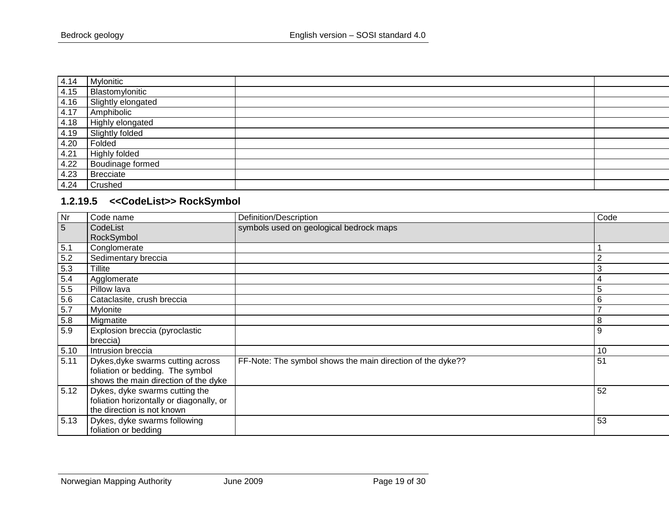| 4.14 | Mylonitic          |  |
|------|--------------------|--|
| 4.15 | Blastomylonitic    |  |
| 4.16 | Slightly elongated |  |
| 4.17 | Amphibolic         |  |
| 4.18 | Highly elongated   |  |
| 4.19 | Slightly folded    |  |
| 4.20 | Folded             |  |
| 4.21 | Highly folded      |  |
| 4.22 | Boudinage formed   |  |
| 4.23 | Brecciate          |  |
| 4.24 | Crushed            |  |

# **1.2.19.5 <<CodeList>> RockSymbol**

<span id="page-18-0"></span>

| Nr   | Code name                                | Definition/Description                                     | Code           |
|------|------------------------------------------|------------------------------------------------------------|----------------|
| 5    | CodeList                                 | symbols used on geological bedrock maps                    |                |
|      | RockSymbol                               |                                                            |                |
| 5.1  | Conglomerate                             |                                                            |                |
| 5.2  | Sedimentary breccia                      |                                                            | $\overline{2}$ |
| 5.3  | Tillite                                  |                                                            | 3              |
| 5.4  | Agglomerate                              |                                                            | 4              |
| 5.5  | Pillow lava                              |                                                            | 5              |
| 5.6  | Cataclasite, crush breccia               |                                                            | 6              |
| 5.7  | Mylonite                                 |                                                            | $\rightarrow$  |
| 5.8  | Migmatite                                |                                                            | 8              |
| 5.9  | Explosion breccia (pyroclastic           |                                                            | 9              |
|      | breccia)                                 |                                                            |                |
| 5.10 | Intrusion breccia                        |                                                            | 10             |
| 5.11 | Dykes, dyke swarms cutting across        | FF-Note: The symbol shows the main direction of the dyke?? | 51             |
|      | foliation or bedding. The symbol         |                                                            |                |
|      | shows the main direction of the dyke     |                                                            |                |
| 5.12 | Dykes, dyke swarms cutting the           |                                                            | 52             |
|      | foliation horizontally or diagonally, or |                                                            |                |
|      | the direction is not known               |                                                            |                |
| 5.13 | Dykes, dyke swarms following             |                                                            | 53             |
|      | foliation or bedding                     |                                                            |                |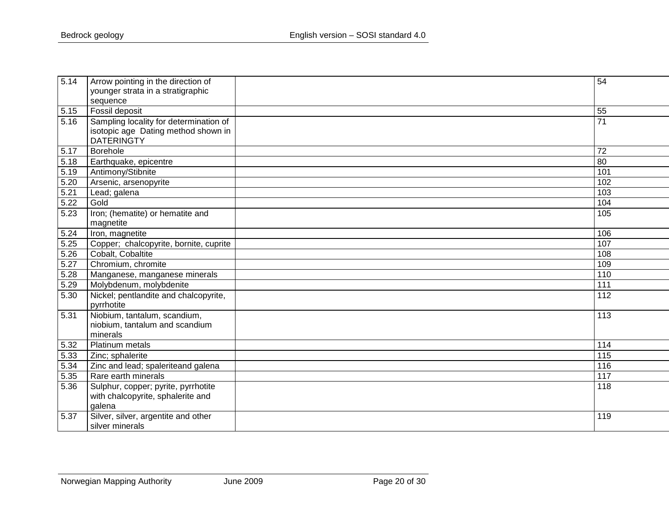| 5.14 | Arrow pointing in the direction of     | 54               |
|------|----------------------------------------|------------------|
|      | younger strata in a stratigraphic      |                  |
|      | sequence                               |                  |
| 5.15 | Fossil deposit                         | 55               |
| 5.16 | Sampling locality for determination of | 71               |
|      | isotopic age Dating method shown in    |                  |
|      | <b>DATERINGTY</b>                      |                  |
| 5.17 | Borehole                               | 72               |
| 5.18 | Earthquake, epicentre                  | 80               |
| 5.19 | Antimony/Stibnite                      | 101              |
| 5.20 | Arsenic, arsenopyrite                  | 102              |
| 5.21 | Lead; galena                           | 103              |
| 5.22 | Gold                                   | 104              |
| 5.23 | Iron; (hematite) or hematite and       | 105              |
|      | magnetite                              |                  |
| 5.24 | Iron, magnetite                        | 106              |
| 5.25 | Copper; chalcopyrite, bornite, cuprite | 107              |
| 5.26 | Cobalt, Cobaltite                      | 108              |
| 5.27 | Chromium, chromite                     | 109              |
| 5.28 | Manganese, manganese minerals          | 110              |
| 5.29 | Molybdenum, molybdenite                | $\overline{111}$ |
| 5.30 | Nickel; pentlandite and chalcopyrite,  | 112              |
|      | pyrrhotite                             |                  |
| 5.31 | Niobium, tantalum, scandium,           | 113              |
|      | niobium, tantalum and scandium         |                  |
|      | minerals                               |                  |
| 5.32 | Platinum metals                        | 114              |
| 5.33 | Zinc; sphalerite                       | 115              |
| 5.34 | Zinc and lead; spaleriteand galena     | 116              |
| 5.35 | Rare earth minerals                    | 117              |
| 5.36 | Sulphur, copper; pyrite, pyrrhotite    | 118              |
|      | with chalcopyrite, sphalerite and      |                  |
|      | galena                                 |                  |
| 5.37 | Silver, silver, argentite and other    | 119              |
|      | silver minerals                        |                  |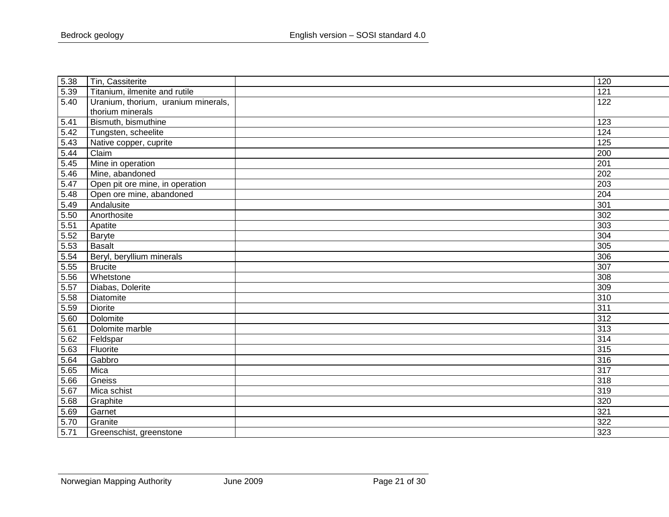| 5.38              | Tin, Cassiterite                    | 120              |
|-------------------|-------------------------------------|------------------|
| 5.39              | Titanium, ilmenite and rutile       | 121              |
| 5.40              | Uranium, thorium, uranium minerals, | 122              |
|                   | thorium minerals                    |                  |
| 5.41              | Bismuth, bismuthine                 | 123              |
| 5.42              | Tungsten, scheelite                 | 124              |
| 5.43              | Native copper, cuprite              | 125              |
| 5.44              | Claim                               | 200              |
| 5.45              | Mine in operation                   | 201              |
| 5.46              | Mine, abandoned                     | 202              |
| 5.47              | Open pit ore mine, in operation     | 203              |
| 5.48              | Open ore mine, abandoned            | 204              |
| 5.49              | Andalusite                          | 301              |
| 5.50              | Anorthosite                         | 302              |
| 5.51              | Apatite                             | 303              |
| 5.52              | Baryte                              | 304              |
| 5.53              | <b>Basalt</b>                       | 305              |
| 5.54              | Beryl, beryllium minerals           | 306              |
| 5.55              | <b>Brucite</b>                      | 307              |
| 5.56              | Whetstone                           | 308              |
| 5.57              | Diabas, Dolerite                    | 309              |
| 5.58              | Diatomite                           | 310              |
| 5.59              | <b>Diorite</b>                      | $\overline{311}$ |
| 5.60              | Dolomite                            | 312              |
| 5.61              | Dolomite marble                     | 313              |
| 5.62              | Feldspar                            | 314              |
| 5.63              | Fluorite                            | 315              |
| $5.\overline{64}$ | Gabbro                              | 316              |
| 5.65              | Mica                                | $\overline{317}$ |
| 5.66              | Gneiss                              | 318              |
| 5.67              | Mica schist                         | 319              |
| 5.68              | Graphite                            | 320              |
| 5.69              | Garnet                              | 321              |
| 5.70              | Granite                             | 322              |
| 5.71              | Greenschist, greenstone             | 323              |
|                   |                                     |                  |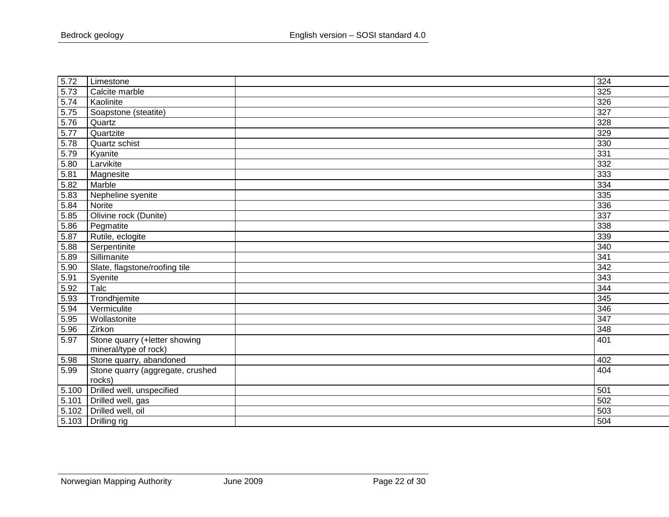| 5.72              | Limestone                        | 324             |
|-------------------|----------------------------------|-----------------|
| 5.73              | Calcite marble                   | 325             |
| 5.74              | Kaolinite                        | 326             |
| 5.75              | Soapstone (steatite)             | 327             |
| 5.76              | Quartz                           | 328             |
| 5.77              | Quartzite                        | 329             |
| 5.78              | Quartz schist                    | 330             |
| 5.79              | Kyanite                          | 331             |
| 5.80              | Larvikite                        | 332             |
| 5.81              | Magnesite                        | 333             |
| 5.82              | Marble                           | 334             |
| 5.83              | Nepheline syenite                | 335             |
| 5.84              | Norite                           | 336             |
| $\overline{5.85}$ | Olivine rock (Dunite)            | $\frac{1}{337}$ |
| $\frac{1}{5.86}$  | Pegmatite                        | 338             |
| 5.87              | Rutile, eclogite                 | 339             |
| 5.88              | Serpentinite                     | 340             |
| 5.89              | Sillimanite                      | 341             |
| 5.90              | Slate, flagstone/roofing tile    | $\frac{1}{342}$ |
| 5.91              | Syenite                          | 343             |
| 5.92              | Talc                             | 344             |
| 5.93              | Trondhjemite                     | 345             |
| 5.94              | Vermiculite                      | 346             |
| 5.95              | Wollastonite                     | 347             |
| 5.96              | Zirkon                           | 348             |
| 5.97              | Stone quarry (+letter showing    | 401             |
|                   | mineral/type of rock)            |                 |
| 5.98              | Stone quarry, abandoned          | 402             |
| 5.99              | Stone quarry (aggregate, crushed | 404             |
|                   | rocks)                           |                 |
| 5.100             | Drilled well, unspecified        | 501             |
| 5.101             | Drilled well, gas                | 502             |
| 5.102             | Drilled well, oil                | 503             |
|                   | 5.103 Drilling rig               | 504             |
|                   |                                  |                 |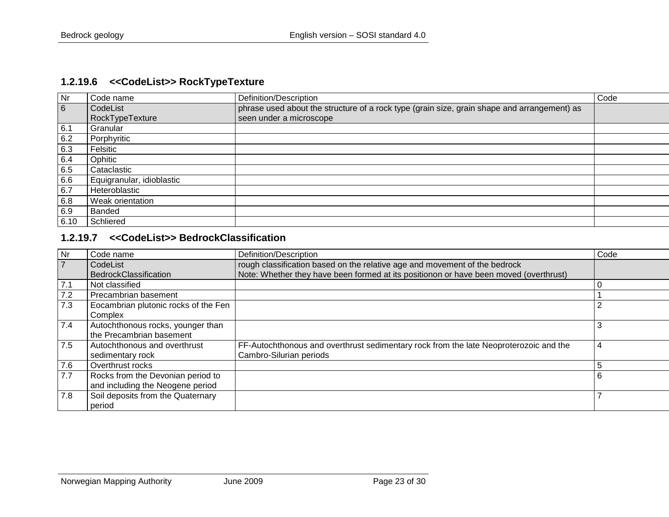# **1.2.19.6 <<CodeList>> RockTypeTexture**

| <b>Nr</b> | Code name                 | Definition/Description                                                                      | Code |
|-----------|---------------------------|---------------------------------------------------------------------------------------------|------|
| 6         | CodeList                  | phrase used about the structure of a rock type (grain size, grain shape and arrangement) as |      |
|           | RockTypeTexture           | seen under a microscope                                                                     |      |
| 6.1       | Granular                  |                                                                                             |      |
| 6.2       | Porphyritic               |                                                                                             |      |
| 6.3       | Felsitic                  |                                                                                             |      |
| 6.4       | Ophitic                   |                                                                                             |      |
| 6.5       | Cataclastic               |                                                                                             |      |
| 6.6       | Equigranular, idioblastic |                                                                                             |      |
| 6.7       | Heteroblastic             |                                                                                             |      |
| 6.8       | Weak orientation          |                                                                                             |      |
| 6.9       | Banded                    |                                                                                             |      |
| 6.10      | Schliered                 |                                                                                             |      |

# <span id="page-22-0"></span>**1.2.19.7 <<CodeList>> BedrockClassification**

<span id="page-22-1"></span>

| <b>Nr</b> | Code name                                                             | Definition/Description                                                                                           | Code |
|-----------|-----------------------------------------------------------------------|------------------------------------------------------------------------------------------------------------------|------|
|           | CodeList                                                              | rough classification based on the relative age and movement of the bedrock                                       |      |
|           | BedrockClassification                                                 | Note: Whether they have been formed at its positionon or have been moved (overthrust)                            |      |
| 7.1       | Not classified                                                        |                                                                                                                  | U    |
| 7.2       | Precambrian basement                                                  |                                                                                                                  |      |
| 7.3       | Eocambrian plutonic rocks of the Fen<br>Complex                       |                                                                                                                  |      |
| 7.4       | Autochthonous rocks, younger than<br>the Precambrian basement         |                                                                                                                  |      |
| 7.5       | Autochthonous and overthrust<br>sedimentary rock                      | FF-Autochthonous and overthrust sedimentary rock from the late Neoproterozoic and the<br>Cambro-Silurian periods | 4    |
| 7.6       | Overthrust rocks                                                      |                                                                                                                  |      |
| 7.7       | Rocks from the Devonian period to<br>and including the Neogene period |                                                                                                                  | 6    |
| 7.8       | Soil deposits from the Quaternary<br>period                           |                                                                                                                  |      |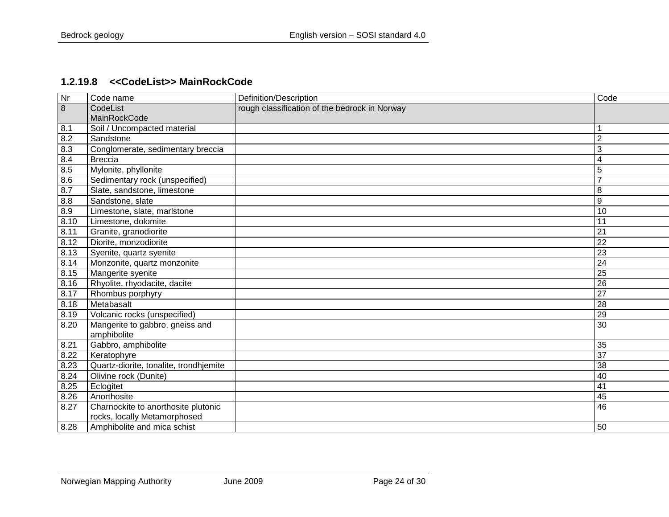#### **1.2.19.8 <<CodeList>> MainRockCode**

<span id="page-23-0"></span>

| Nr   | Code name                              | Definition/Description                        | Code             |
|------|----------------------------------------|-----------------------------------------------|------------------|
| 8    | CodeList                               | rough classification of the bedrock in Norway |                  |
|      | MainRockCode                           |                                               |                  |
| 8.1  | Soil / Uncompacted material            |                                               |                  |
| 8.2  | Sandstone                              |                                               | $\overline{2}$   |
| 8.3  | Conglomerate, sedimentary breccia      |                                               | 3                |
| 8.4  | <b>Breccia</b>                         |                                               | $\overline{4}$   |
| 8.5  | Mylonite, phyllonite                   |                                               | 5                |
| 8.6  | Sedimentary rock (unspecified)         |                                               | $\overline{7}$   |
| 8.7  | Slate, sandstone, limestone            |                                               | 8                |
| 8.8  | Sandstone, slate                       |                                               | $\boldsymbol{9}$ |
| 8.9  | Limestone, slate, marlstone            |                                               | 10               |
| 8.10 | Limestone, dolomite                    |                                               | 11               |
| 8.11 | Granite, granodiorite                  |                                               | 21               |
| 8.12 | Diorite, monzodiorite                  |                                               | $\overline{22}$  |
| 8.13 | Syenite, quartz syenite                |                                               | 23               |
| 8.14 | Monzonite, quartz monzonite            |                                               | $\overline{24}$  |
| 8.15 | Mangerite syenite                      |                                               | $\overline{25}$  |
| 8.16 | Rhyolite, rhyodacite, dacite           |                                               | $\overline{26}$  |
| 8.17 | Rhombus porphyry                       |                                               | $\overline{27}$  |
| 8.18 | Metabasalt                             |                                               | $\overline{28}$  |
| 8.19 | Volcanic rocks (unspecified)           |                                               | 29               |
| 8.20 | Mangerite to gabbro, gneiss and        |                                               | 30               |
|      | amphibolite                            |                                               |                  |
| 8.21 | Gabbro, amphibolite                    |                                               | 35               |
| 8.22 | Keratophyre                            |                                               | 37               |
| 8.23 | Quartz-diorite, tonalite, trondhjemite |                                               | $\overline{38}$  |
| 8.24 | Olivine rock (Dunite)                  |                                               | 40               |
| 8.25 | Eclogitet                              |                                               | 41               |
| 8.26 | Anorthosite                            |                                               | 45               |
| 8.27 | Charnockite to anorthosite plutonic    |                                               | 46               |
|      | rocks, locally Metamorphosed           |                                               |                  |
| 8.28 | Amphibolite and mica schist            |                                               | 50               |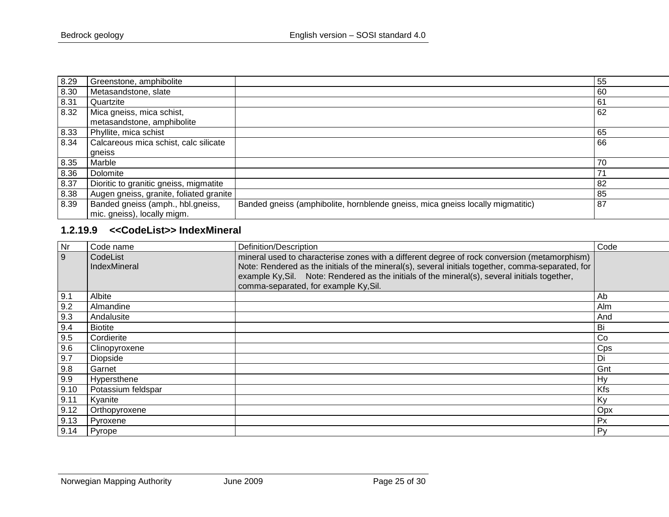| 8.29 | Greenstone, amphibolite                                          |                                                                                | 55 |
|------|------------------------------------------------------------------|--------------------------------------------------------------------------------|----|
| 8.30 | Metasandstone, slate                                             |                                                                                | 60 |
| 8.31 | Quartzite                                                        |                                                                                | 61 |
| 8.32 | Mica gneiss, mica schist,<br>metasandstone, amphibolite          |                                                                                | 62 |
| 8.33 | Phyllite, mica schist                                            |                                                                                | 65 |
| 8.34 | Calcareous mica schist, calc silicate                            |                                                                                | 66 |
|      | qneiss                                                           |                                                                                |    |
| 8.35 | Marble                                                           |                                                                                | 70 |
| 8.36 | Dolomite                                                         |                                                                                | 71 |
| 8.37 | Dioritic to granitic gneiss, migmatite                           |                                                                                | 82 |
| 8.38 | Augen gneiss, granite, foliated granite                          |                                                                                | 85 |
| 8.39 | Banded gneiss (amph., hbl.gneiss,<br>mic. gneiss), locally migm. | Banded gneiss (amphibolite, hornblende gneiss, mica gneiss locally migmatitic) | 87 |

# **1.2.19.9 <<CodeList>> IndexMineral**

<span id="page-24-0"></span>

| Nr             | Code name                | Definition/Description                                                                                                                                                                                                                                                                                                                      | Code |
|----------------|--------------------------|---------------------------------------------------------------------------------------------------------------------------------------------------------------------------------------------------------------------------------------------------------------------------------------------------------------------------------------------|------|
| $\overline{9}$ | CodeList<br>IndexMineral | mineral used to characterise zones with a different degree of rock conversion (metamorphism)<br>Note: Rendered as the initials of the mineral(s), several initials together, comma-separated, for<br>example Ky, Sil. Note: Rendered as the initials of the mineral(s), several initials together,<br>comma-separated, for example Ky, Sil. |      |
| 9.1            | Albite                   |                                                                                                                                                                                                                                                                                                                                             | Ab   |
| 9.2            | Almandine                |                                                                                                                                                                                                                                                                                                                                             | Alm  |
| 9.3            | Andalusite               |                                                                                                                                                                                                                                                                                                                                             | And  |
| 9.4            | <b>Biotite</b>           |                                                                                                                                                                                                                                                                                                                                             | Bi   |
| 9.5            | Cordierite               |                                                                                                                                                                                                                                                                                                                                             | Co   |
| 9.6            | Clinopyroxene            |                                                                                                                                                                                                                                                                                                                                             | Cps  |
| 9.7            | Diopside                 |                                                                                                                                                                                                                                                                                                                                             | Di   |
| 9.8            | Garnet                   |                                                                                                                                                                                                                                                                                                                                             | Gnt  |
| 9.9            | Hypersthene              |                                                                                                                                                                                                                                                                                                                                             | Hy   |
| 9.10           | Potassium feldspar       |                                                                                                                                                                                                                                                                                                                                             | Kfs  |
| 9.11           | Kyanite                  |                                                                                                                                                                                                                                                                                                                                             | Ky   |
| 9.12           | Orthopyroxene            |                                                                                                                                                                                                                                                                                                                                             | Opx  |
| 9.13           | Pyroxene                 |                                                                                                                                                                                                                                                                                                                                             | Px   |
| 9.14           | Pyrope                   |                                                                                                                                                                                                                                                                                                                                             | Py   |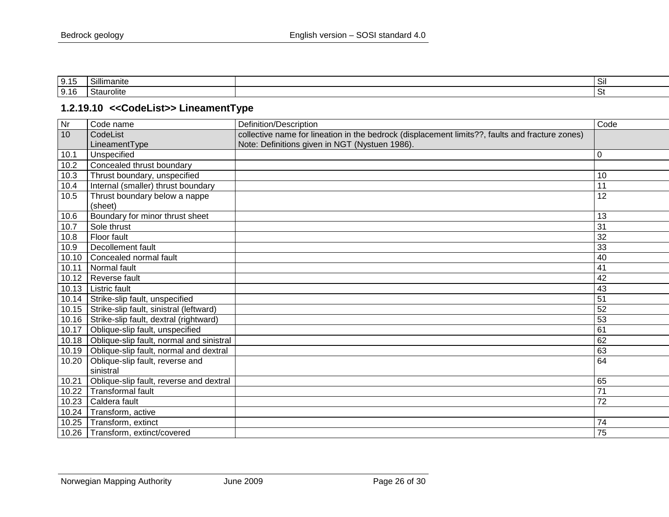| .<br>ں ان | $\sim$<br>ımanıte<br><b>11</b> | $\sim$<br>-SII |
|-----------|--------------------------------|----------------|
| 9.16      | Staurolite                     | اب             |

## **1.2.19.10 <<CodeList>> LineamentType**

<span id="page-25-0"></span>

| Nr    | Code name                                | Definition/Description                                                                          | Code            |
|-------|------------------------------------------|-------------------------------------------------------------------------------------------------|-----------------|
| 10    | CodeList                                 | collective name for lineation in the bedrock (displacement limits??, faults and fracture zones) |                 |
|       | LineamentType                            | Note: Definitions given in NGT (Nystuen 1986).                                                  |                 |
| 10.1  | Unspecified                              |                                                                                                 | 0               |
| 10.2  | Concealed thrust boundary                |                                                                                                 |                 |
| 10.3  | Thrust boundary, unspecified             |                                                                                                 | 10              |
| 10.4  | Internal (smaller) thrust boundary       |                                                                                                 | 11              |
| 10.5  | Thrust boundary below a nappe            |                                                                                                 | 12              |
|       | (sheet)                                  |                                                                                                 |                 |
| 10.6  | Boundary for minor thrust sheet          |                                                                                                 | 13              |
| 10.7  | Sole thrust                              |                                                                                                 | 31              |
| 10.8  | Floor fault                              |                                                                                                 | 32              |
| 10.9  | Decollement fault                        |                                                                                                 | 33              |
| 10.10 | Concealed normal fault                   |                                                                                                 | 40              |
| 10.11 | Normal fault                             |                                                                                                 | 41              |
| 10.12 | Reverse fault                            |                                                                                                 | 42              |
| 10.13 | <b>Listric fault</b>                     |                                                                                                 | 43              |
| 10.14 | Strike-slip fault, unspecified           |                                                                                                 | 51              |
| 10.15 | Strike-slip fault, sinistral (leftward)  |                                                                                                 | 52              |
| 10.16 | Strike-slip fault, dextral (rightward)   |                                                                                                 | 53              |
| 10.17 | Oblique-slip fault, unspecified          |                                                                                                 | 61              |
| 10.18 | Oblique-slip fault, normal and sinistral |                                                                                                 | 62              |
| 10.19 | Oblique-slip fault, normal and dextral   |                                                                                                 | 63              |
| 10.20 | Oblique-slip fault, reverse and          |                                                                                                 | 64              |
|       | sinistral                                |                                                                                                 |                 |
| 10.21 | Oblique-slip fault, reverse and dextral  |                                                                                                 | 65              |
| 10.22 | <b>Transformal fault</b>                 |                                                                                                 | 71              |
| 10.23 | Caldera fault                            |                                                                                                 | $\overline{72}$ |
| 10.24 | Transform, active                        |                                                                                                 |                 |
| 10.25 | Transform, extinct                       |                                                                                                 | 74              |
|       | 10.26   Transform, extinct/covered       |                                                                                                 | $\overline{75}$ |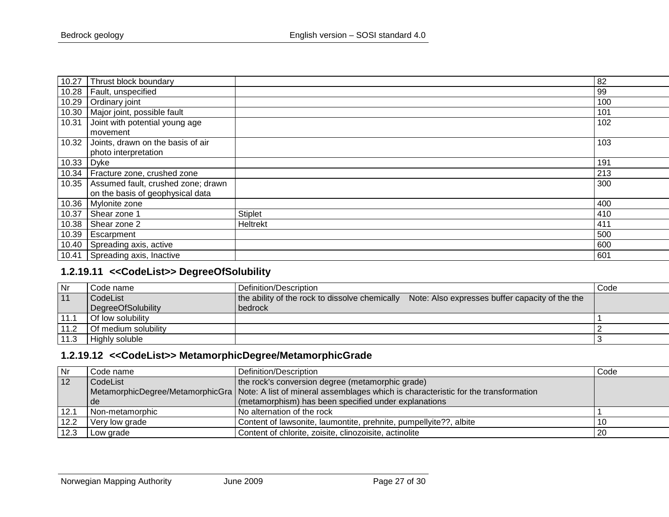| 10.27 | Thrust block boundary                                     |          | 82  |
|-------|-----------------------------------------------------------|----------|-----|
| 10.28 | Fault, unspecified                                        |          | 99  |
| 10.29 | Ordinary joint                                            |          | 100 |
| 10.30 | Major joint, possible fault                               |          | 101 |
| 10.31 | Joint with potential young age<br>movement                |          | 102 |
| 10.32 | Joints, drawn on the basis of air<br>photo interpretation |          | 103 |
| 10.33 | $D$ yke                                                   |          | 191 |
| 10.34 | Fracture zone, crushed zone                               |          | 213 |
| 10.35 | Assumed fault, crushed zone; drawn                        |          | 300 |
|       | on the basis of geophysical data                          |          |     |
| 10.36 | Mylonite zone                                             |          | 400 |
| 10.37 | Shear zone 1                                              | Stiplet  | 410 |
| 10.38 | Shear zone 2                                              | Heltrekt | 411 |
| 10.39 | Escarpment                                                |          | 500 |
| 10.40 | Spreading axis, active                                    |          | 600 |
| 10.41 | Spreading axis, Inactive                                  |          | 601 |

## **1.2.19.11 <<CodeList>> DegreeOfSolubility**

| Nr   | Code name            | Definition/Description                                                                            | Code |
|------|----------------------|---------------------------------------------------------------------------------------------------|------|
| 11   | CodeList             | the ability of the rock to dissolve chemically<br>Note: Also expresses buffer capacity of the the |      |
|      | DegreeOfSolubility   | bedrock                                                                                           |      |
| 11.1 | Of low solubility    |                                                                                                   |      |
| 11.2 | Of medium solubility |                                                                                                   |      |
| 11.3 | Highly soluble       |                                                                                                   |      |

#### **1.2.19.12 <<CodeList>> MetamorphicDegree/MetamorphicGrade**

<span id="page-26-1"></span><span id="page-26-0"></span>

| <b>Nr</b> | Code name       | Definition/Description                                                                                                | Code |
|-----------|-----------------|-----------------------------------------------------------------------------------------------------------------------|------|
| 12        | CodeList        | the rock's conversion degree (metamorphic grade)                                                                      |      |
|           |                 | MetamorphicDegree/MetamorphicGra   Note: A list of mineral assemblages which is characteristic for the transformation |      |
|           | de              | (metamorphism) has been specified under explanations                                                                  |      |
| 12.1      | Non-metamorphic | No alternation of the rock                                                                                            |      |
| 12.2      | Very low grade  | Content of lawsonite, laumontite, prehnite, pumpellyite??, albite                                                     | -10  |
| 12.3      | Low grade       | Content of chlorite, zoisite, clinozoisite, actinolite                                                                | -20  |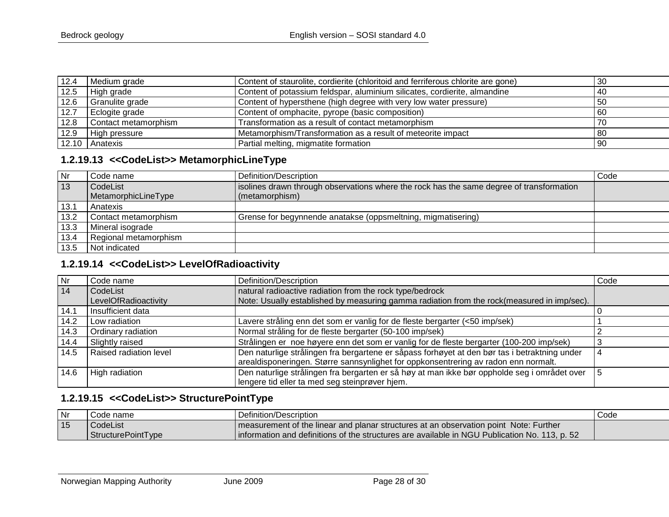| 12.4 | Medium grade         | Content of staurolite, cordierite (chloritoid and ferriferous chlorite are gone) | 30   |
|------|----------------------|----------------------------------------------------------------------------------|------|
| 12.5 | High grade           | Content of potassium feldspar, aluminium silicates, cordierite, almandine        | -40  |
| 12.6 | Granulite grade      | Content of hypersthene (high degree with very low water pressure)                | -50  |
| 12.7 | Eclogite grade       | Content of omphacite, pyrope (basic composition)                                 | 60   |
| 12.8 | Contact metamorphism | Transformation as a result of contact metamorphism                               | 70   |
| 12.9 | High pressure        | Metamorphism/Transformation as a result of meteorite impact                      | l 80 |
|      | 12.10 Anatexis       | Partial melting, migmatite formation                                             | l 90 |

#### **1.2.19.13 <<CodeList>> MetamorphicLineType**

| <b>Nr</b> | . Code name           | Definition/Description                                                                  | Code |
|-----------|-----------------------|-----------------------------------------------------------------------------------------|------|
| 13        | CodeList              | solines drawn through observations where the rock has the same degree of transformation |      |
|           | MetamorphicLineType   | (metamorphism)                                                                          |      |
| 13.1      | Anatexis              |                                                                                         |      |
| 13.2      | Contact metamorphism  | Grense for begynnende anatakse (oppsmeltning, migmatisering)                            |      |
| 13.3      | Mineral isograde      |                                                                                         |      |
| 13.4      | Regional metamorphism |                                                                                         |      |
| 13.5      | Not indicated         |                                                                                         |      |
|           |                       |                                                                                         |      |

## **1.2.19.14 <<CodeList>> LevelOfRadioactivity**

<span id="page-27-0"></span>

| Nr.  | Code name              | Definition/Description                                                                        | Code |
|------|------------------------|-----------------------------------------------------------------------------------------------|------|
| 14   | CodeList               | natural radioactive radiation from the rock type/bedrock                                      |      |
|      | LevelOfRadioactivity   | Note: Usually established by measuring gamma radiation from the rock(measured in imp/sec).    |      |
| 14.1 | Insufficient data      |                                                                                               |      |
| 14.2 | Low radiation          | Lavere stråling enn det som er vanlig for de fleste bergarter (<50 imp/sek)                   |      |
| 14.3 | Ordinary radiation     | Normal stråling for de fleste bergarter (50-100 imp/sek)                                      |      |
| 14.4 | Slightly raised        | Strålingen er noe høyere enn det som er vanlig for de fleste bergarter (100-200 imp/sek)      |      |
| 14.5 | Raised radiation level | Den naturlige strålingen fra bergartene er såpass forhøyet at den bør tas i betraktning under |      |
|      |                        | arealdisponeringen. Større sannsynlighet for oppkonsentrering av radon enn normalt.           |      |
| 14.6 | High radiation         | Den naturlige strålingen fra bergarten er så høy at man ikke bør oppholde seg i området over  | ۱5   |
|      |                        | lengere tid eller ta med seg steinprøver hjem.                                                |      |

## **1.2.19.15 <<CodeList>> StructurePointType**

<span id="page-27-2"></span><span id="page-27-1"></span>

| Nr | Code name          | Definition/Description                                                                        | Code |
|----|--------------------|-----------------------------------------------------------------------------------------------|------|
| 15 | l CodeList         | I measurement of the linear and planar structures at an observation point Note: Further       |      |
|    | StructurePointType | information and definitions of the structures are available in NGU Publication No. 113, p. 52 |      |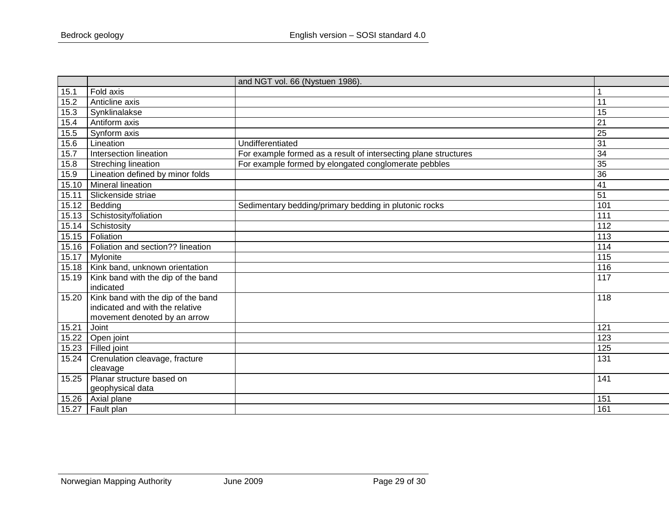|       |                                    | and NGT vol. 66 (Nystuen 1986).                                 |                  |
|-------|------------------------------------|-----------------------------------------------------------------|------------------|
| 15.1  | Fold axis                          |                                                                 |                  |
| 15.2  | Anticline axis                     |                                                                 | 11               |
| 15.3  | Synklinalakse                      |                                                                 | 15               |
| 15.4  | Antiform axis                      |                                                                 | 21               |
| 15.5  | Synform axis                       |                                                                 | $\overline{25}$  |
| 15.6  | Lineation                          | Undifferentiated                                                | $\overline{31}$  |
| 15.7  | Intersection lineation             | For example formed as a result of intersecting plane structures | 34               |
| 15.8  | Streching lineation                | For example formed by elongated conglomerate pebbles            | 35               |
| 15.9  | Lineation defined by minor folds   |                                                                 | 36               |
| 15.10 | Mineral lineation                  |                                                                 | 41               |
| 15.11 | Slickenside striae                 |                                                                 | 51               |
| 15.12 | Bedding                            | Sedimentary bedding/primary bedding in plutonic rocks           | 101              |
| 15.13 | Schistosity/foliation              |                                                                 | 111              |
| 15.14 | Schistosity                        |                                                                 | 112              |
| 15.15 | Foliation                          |                                                                 | $\overline{113}$ |
| 15.16 | Foliation and section?? lineation  |                                                                 | 114              |
| 15.17 | Mylonite                           |                                                                 | 115              |
| 15.18 | Kink band, unknown orientation     |                                                                 | 116              |
| 15.19 | Kink band with the dip of the band |                                                                 | 117              |
|       | indicated                          |                                                                 |                  |
| 15.20 | Kink band with the dip of the band |                                                                 | 118              |
|       | indicated and with the relative    |                                                                 |                  |
|       | movement denoted by an arrow       |                                                                 |                  |
| 15.21 | Joint                              |                                                                 | 121              |
| 15.22 | Open joint                         |                                                                 | 123              |
| 15.23 | Filled joint                       |                                                                 | 125              |
| 15.24 | Crenulation cleavage, fracture     |                                                                 | 131              |
|       | cleavage                           |                                                                 |                  |
| 15.25 | Planar structure based on          |                                                                 | 141              |
|       | geophysical data                   |                                                                 |                  |
| 15.26 | Axial plane                        |                                                                 | 151              |
| 15.27 | Fault plan                         |                                                                 | 161              |